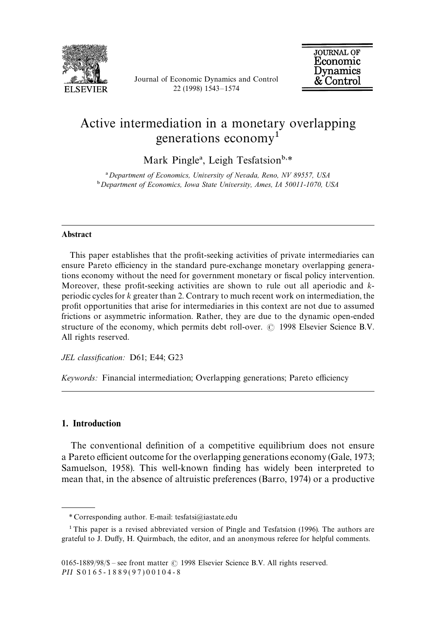

# Active intermediation in a monetary overlapping generations economy<sup>1</sup>

Mark Pingle<sup>a</sup>, Leigh Tesfatsion<sup>b,\*</sup>

! *Department of Economics, University of Nevada, Reno, NV 89557, USA* " *Department of Economics, Iowa State University, Ames, IA 50011-1070, USA*

### **Abstract**

This paper establishes that the profit-seeking activities of private intermediaries can ensure Pareto efficiency in the standard pure-exchange monetary overlapping generations economy without the need for government monetary or fiscal policy intervention. Moreover, these profit-seeking activities are shown to rule out all aperiodic and *k*periodic cycles for *k* greater than 2. Contrary to much recent work on intermediation, the profit opportunities that arise for intermediaries in this context are not due to assumed frictions or asymmetric information. Rather, they are due to the dynamic open-ended structure of the economy, which permits debt roll-over.  $\odot$  1998 Elsevier Science B.V. All rights reserved.

*JEL classification:* D61; E44; G23

*Keywords:* Financial intermediation; Overlapping generations; Pareto efficiency

## 1. Introduction

The conventional definition of a competitive equilibrium does not ensure a Pareto efficient outcome for the overlapping generations economy (Gale, 1973; Samuelson, 1958). This well-known finding has widely been interpreted to mean that, in the absence of altruistic preferences (Barro, 1974) or a productive

*<sup>\*</sup>* Corresponding author. E-mail: tesfatsi@iastate.edu

<sup>&</sup>lt;sup>1</sup>This paper is a revised abbreviated version of Pingle and Tesfatsion (1996). The authors are grateful to J. Duffy, H. Quirmbach, the editor, and an anonymous referee for helpful comments.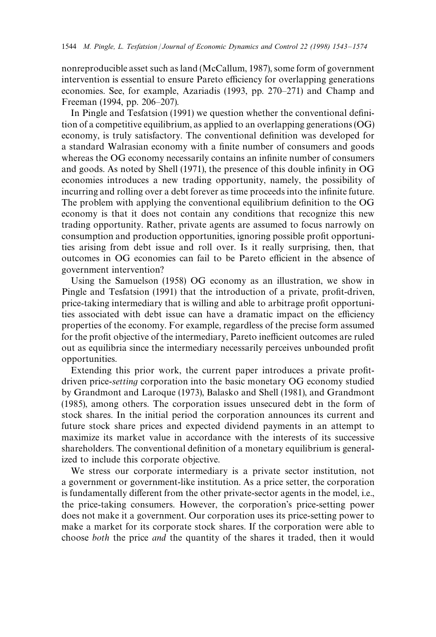nonreproducible asset such as land (McCallum, 1987), some form of government intervention is essential to ensure Pareto efficiency for overlapping generations economies. See, for example, Azariadis (1993, pp. 270*—*271) and Champ and Freeman (1994, pp. 206*—*207).

In Pingle and Tesfatsion (1991) we question whether the conventional definition of a competitive equilibrium, as applied to an overlapping generations  $(OG)$ economy, is truly satisfactory. The conventional definition was developed for a standard Walrasian economy with a finite number of consumers and goods whereas the OG economy necessarily contains an infinite number of consumers and goods. As noted by Shell (1971), the presence of this double infinity in OG economies introduces a new trading opportunity, namely, the possibility of incurring and rolling over a debt forever as time proceeds into the infinite future. The problem with applying the conventional equilibrium definition to the OG economy is that it does not contain any conditions that recognize this new trading opportunity. Rather, private agents are assumed to focus narrowly on consumption and production opportunities, ignoring possible profit opportunities arising from debt issue and roll over. Is it really surprising, then, that outcomes in OG economies can fail to be Pareto efficient in the absence of government intervention?

Using the Samuelson (1958) OG economy as an illustration, we show in Pingle and Tesfatsion (1991) that the introduction of a private, profit-driven, price-taking intermediary that is willing and able to arbitrage profit opportunities associated with debt issue can have a dramatic impact on the efficiency properties of the economy. For example, regardless of the precise form assumed for the profit objective of the intermediary, Pareto inefficient outcomes are ruled out as equilibria since the intermediary necessarily perceives unbounded profit opportunities.

Extending this prior work, the current paper introduces a private profitdriven price-*setting* corporation into the basic monetary OG economy studied by Grandmont and Laroque (1973), Balasko and Shell (1981), and Grandmont (1985), among others. The corporation issues unsecured debt in the form of stock shares. In the initial period the corporation announces its current and future stock share prices and expected dividend payments in an attempt to maximize its market value in accordance with the interests of its successive shareholders. The conventional definition of a monetary equilibrium is generalized to include this corporate objective.

We stress our corporate intermediary is a private sector institution, not a government or government-like institution. As a price setter, the corporation is fundamentally different from the other private-sector agents in the model, i.e., the price-taking consumers. However, the corporation's price-setting power does not make it a government. Our corporation uses its price-setting power to make a market for its corporate stock shares. If the corporation were able to choose *both* the price *and* the quantity of the shares it traded, then it would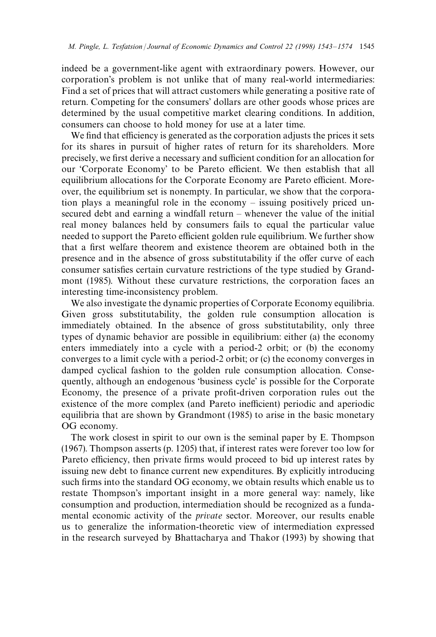indeed be a government-like agent with extraordinary powers. However, our corporation's problem is not unlike that of many real-world intermediaries: Find a set of prices that will attract customers while generating a positive rate of return. Competing for the consumers' dollars are other goods whose prices are determined by the usual competitive market clearing conditions. In addition, consumers can choose to hold money for use at a later time.

We find that efficiency is generated as the corporation adjusts the prices it sets for its shares in pursuit of higher rates of return for its shareholders. More precisely, we first derive a necessary and sufficient condition for an allocation for our 'Corporate Economy' to be Pareto efficient. We then establish that all equilibrium allocations for the Corporate Economy are Pareto efficient. Moreover, the equilibrium set is nonempty. In particular, we show that the corporation plays a meaningful role in the economy *—* issuing positively priced unsecured debt and earning a windfall return *—* whenever the value of the initial real money balances held by consumers fails to equal the particular value needed to support the Pareto efficient golden rule equilibrium. We further show that a first welfare theorem and existence theorem are obtained both in the presence and in the absence of gross substitutability if the offer curve of each consumer satisfies certain curvature restrictions of the type studied by Grandmont (1985). Without these curvature restrictions, the corporation faces an interesting time-inconsistency problem.

We also investigate the dynamic properties of Corporate Economy equilibria. Given gross substitutability, the golden rule consumption allocation is immediately obtained. In the absence of gross substitutability, only three types of dynamic behavior are possible in equilibrium: either (a) the economy enters immediately into a cycle with a period-2 orbit; or (b) the economy converges to a limit cycle with a period-2 orbit; or (c) the economy converges in damped cyclical fashion to the golden rule consumption allocation. Consequently, although an endogenous 'business cycle' is possible for the Corporate Economy, the presence of a private profit-driven corporation rules out the existence of the more complex (and Pareto inefficient) periodic and aperiodic equilibria that are shown by Grandmont (1985) to arise in the basic monetary OG economy.

The work closest in spirit to our own is the seminal paper by E. Thompson (1967). Thompson asserts (p. 1205) that, if interest rates were forever too low for Pareto efficiency, then private firms would proceed to bid up interest rates by issuing new debt to finance current new expenditures. By explicitly introducing such firms into the standard OG economy, we obtain results which enable us to restate Thompson's important insight in a more general way: namely, like consumption and production, intermediation should be recognized as a fundamental economic activity of the *private* sector. Moreover, our results enable us to generalize the information-theoretic view of intermediation expressed in the research surveyed by Bhattacharya and Thakor (1993) by showing that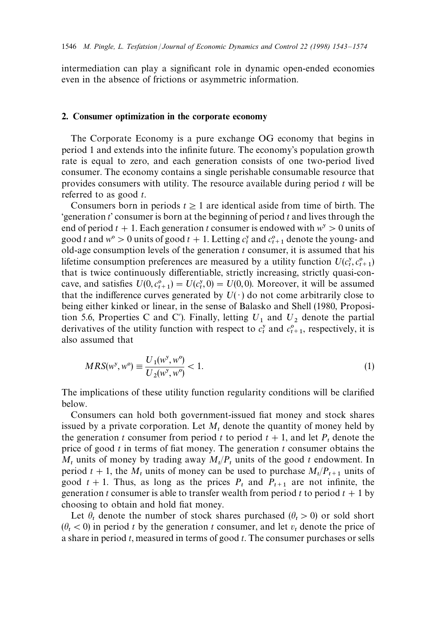intermediation can play a significant role in dynamic open-ended economies even in the absence of frictions or asymmetric information.

#### 2. Consumer optimization in the corporate economy

The Corporate Economy is a pure exchange OG economy that begins in period 1 and extends into the infinite future. The economy's population growth rate is equal to zero, and each generation consists of one two-period lived consumer. The economy contains a single perishable consumable resource that provides consumers with utility. The resource available during period *t* will be referred to as good *t*.

Consumers born in periods  $t > 1$  are identical aside from time of birth. The 'generation *t*' consumer is born at the beginning of period *t* and lives through the end of period  $t + 1$ . Each generation *t* consumer is endowed with  $w^y > 0$  units of good *t* and  $w^{\circ} > 0$  units of good  $t + 1$ . Letting  $c_t^{\circ}$  and  $c_{t+1}^{\circ}$  denote the young- and old-age consumption levels of the generation *t* consumer, it is assumed that his lifetime consumption preferences are measured by a utility function  $U(c_t^y, c_{t+1}^o)$  that is twice continuously differentiable, strictly increasing, strictly quasi-concave, and satisfies  $U(0, c_{t+1}^0) = U(c_t^y, 0) = U(0, 0)$ . Moreover, it will be assumed that the indifference curves generated by  $U(·)$  do not come arbitrarily close to being either kinked or linear, in the sense of Balasko and Shell (1980, Proposition 5.6, Properties C and C'). Finally, letting  $U_1$  and  $U_2$  denote the partial derivatives of the utility function with respect to  $c_t^y$  and  $c_{t+1}^0$ , respectively, it is also assumed that

$$
MRS(w^y, w^o) \equiv \frac{U_1(w^y, w^o)}{U_2(w^y, w^o)} < 1. \tag{1}
$$

The implications of these utility function regularity conditions will be clarified below.

Consumers can hold both government-issued fiat money and stock shares issued by a private corporation. Let  $M_t$  denote the quantity of money held by the generation *t* consumer from period *t* to period  $t + 1$ , and let  $P_t$  denote the price of good *t* in terms of fiat money. The generation *t* consumer obtains the  $M_t$  units of money by trading away  $M_t/P_t$  units of the good *t* endowment. In period  $t + 1$ , the  $M_t$  units of money can be used to purchase  $M_t/P_{t+1}$  units of good  $t + 1$ . Thus, as long as the prices  $P_t$  and  $P_{t+1}$  are not infinite, the generation *t* consumer is able to transfer wealth from period *t* to period  $t + 1$  by choosing to obtain and hold fiat money.

Let  $\theta_t$  denote the number of stock shares purchased  $(\theta_t > 0)$  or sold short  $(\theta_t < 0)$  in period *t* by the generation *t* consumer, and let  $v_t$  denote the price of a share in period *t*, measured in terms of good *t*. The consumer purchases or sells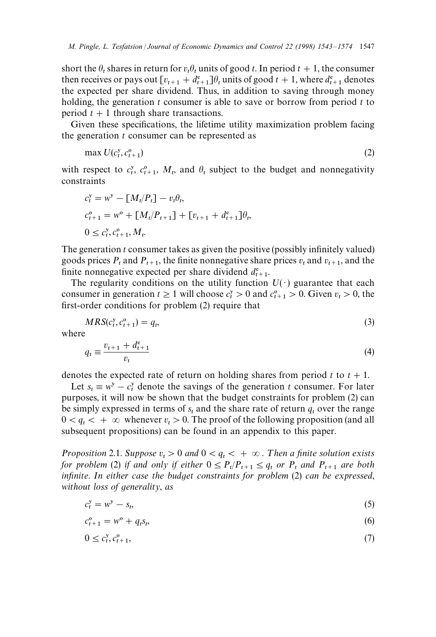short the  $\theta_t$  shares in return for  $v_t \theta_t$  units of good *t*. In period  $t + 1$ , the consumer then receives or pays out  $[v_{t+1} + d_{t+1}^e] \theta_t$  units of good  $t + 1$ , where  $d_{t+1}^e$  denotes the expected per share dividend. Thus, in addition to saving through money holding, the generation *t* consumer is able to save or borrow from period *t* to period  $t + 1$  through share transactions.

Given these specifications, the lifetime utility maximization problem facing the generation  $\vec{t}$  consumer can be represented as

$$
\max U(c_t^{\mathrm{y}}, c_{t+1}^{\mathrm{o}}) \tag{2}
$$

with respect to  $c_t^y$ ,  $c_{t+1}^0$ ,  $M_t$ , and  $\theta_t$  subject to the budget and nonnegativity constraints

$$
c_t^y = w^y - [M_t/P_t] - v_t \theta_t,
$$
  
\n
$$
c_{t+1}^o = w^o + [M_t/P_{t+1}] + [v_{t+1} + d_{t+1}^e] \theta_t,
$$
  
\n
$$
0 \le c_t^y, c_{t+1}^o, M_t.
$$

The generation *t* consumer takes as given the positive (possibly infinitely valued) goods prices  $P_t$  and  $P_{t+1}$ , the finite nonnegative share prices  $v_t$  and  $v_{t+1}$ , and the finite nonnegative expected per share dividend  $d_{t+1}^e$ .

The regularity conditions on the utility function  $U(·)$  guarantee that each consumer in generation  $t \ge 1$  will choose  $c_t^y > 0$  and  $c_{t+1}^0 > 0$ . Given  $v_t > 0$ , the first-order conditions for problem (2) require that

$$
MRS(c_i^y, c_{t+1}^o) = q_t,
$$
\n(3)

where

$$
q_t \equiv \frac{v_{t+1} + d_{t+1}^e}{v_t} \tag{4}
$$

denotes the expected rate of return on holding shares from period *t* to  $t + 1$ .

Let  $s_t \equiv w^y - c_t^y$  denote the savings of the generation *t* consumer. For later purposes, it will now be shown that the budget constraints for problem (2) can be simply expressed in terms of  $s_t$  and the share rate of return  $q_t$  over the range  $0 < q_t < +\infty$  whenever  $v_t > 0$ . The proof of the following proposition (and all subsequent propositions) can be found in an appendix to this paper.

*Proposition* 2.1. *Suppose*  $v_t > 0$  *and*  $0 < q_t < +\infty$ . *Then a finite solution exists for problem* (2) *if and only if either*  $0 \leq P_t/P_{t+1} \leq q_t$  *or P<sub>t</sub> and P<sub>t+1</sub> are both infinite*. *In either case the budget constraints for problem* (2) *can be expressed*, *without loss of generality*, *as*

$$
c_t^y = w^y - s_t,\tag{5}
$$

$$
c_{t+1}^{\circ} = w^{\circ} + q_t s_t, \tag{6}
$$

$$
0 \leq c_t^{\mathrm{y}}, c_{t+1}^{\mathrm{o}}, \tag{7}
$$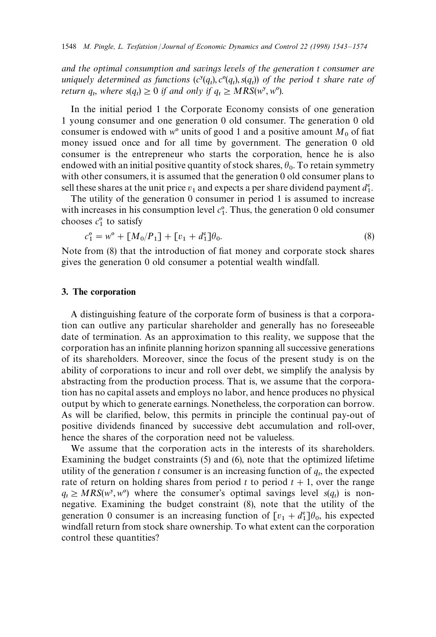*and the optimal consumption and savings levels of the generation t consumer are uniquely determined as functions*  $(c^{y}(q_t), c^{o}(q_t), s(q_t))$  *of the period t share rate of return*  $q_t$ , *where*  $s(q_t) \geq 0$  *if and only if*  $q_t \geq MRS(w^y, w^0)$ .

In the initial period 1 the Corporate Economy consists of one generation 1 young consumer and one generation 0 old consumer. The generation 0 old consumer is endowed with  $w^0$  units of good 1 and a positive amount  $M_0$  of fiat money issued once and for all time by government. The generation 0 old consumer is the entrepreneur who starts the corporation, hence he is also endowed with an initial positive quantity of stock shares,  $\theta_0$ . To retain symmetry endowed with an initial positive quality of stock shares,  $v_0$ . To retain symmetry with other consumers, it is assumed that the generation 0 old consumer plans to sell these shares at the unit price  $v_1$  and expects a per share dividend payment  $d_1^e$ .

The utility of the generation 0 consumer in period 1 is assumed to increase with increases in his consumption level  $c_1^{\circ}$ . Thus, the generation 0 old consumer chooses  $c_1^{\circ}$  to satisfy

$$
c_1^{\circ} = w^{\circ} + [M_0/P_1] + [v_1 + d_1^{\circ}] \theta_0.
$$
\n(8)

Note from (8) that the introduction of fiat money and corporate stock shares gives the generation 0 old consumer a potential wealth windfall.

### 3. The corporation

A distinguishing feature of the corporate form of business is that a corporation can outlive any particular shareholder and generally has no foreseeable date of termination. As an approximation to this reality, we suppose that the corporation has an infinite planning horizon spanning all successive generations of its shareholders. Moreover, since the focus of the present study is on the ability of corporations to incur and roll over debt, we simplify the analysis by abstracting from the production process. That is, we assume that the corporation has no capital assets and employs no labor, and hence produces no physical output by which to generate earnings. Nonetheless, the corporation can borrow. As will be clarified, below, this permits in principle the continual pay-out of positive dividends financed by successive debt accumulation and roll-over, hence the shares of the corporation need not be valueless.

We assume that the corporation acts in the interests of its shareholders. Examining the budget constraints (5) and (6), note that the optimized lifetime utility of the generation  $t$  consumer is an increasing function of  $q_t$ , the expected rate of return on holding shares from period  $t$  to period  $t + 1$ , over the range  $q_t \geq MRS(w^y, w^0)$  where the consumer's optimal savings level *s*(*q*<sub>t</sub>) is non- negative. Examining the budget constraint (8), note that the utility of the generation 0 consumer is an increasing function of  $[v_1 + d_1^e]\theta_0$ , his expected generation  $\sigma$  consumer is an increasing function of  $\lfloor v_1 + u_1 \rfloor v_0$ , ins expected<br>windfall return from stock share ownership. To what extent can the corporation control these quantities?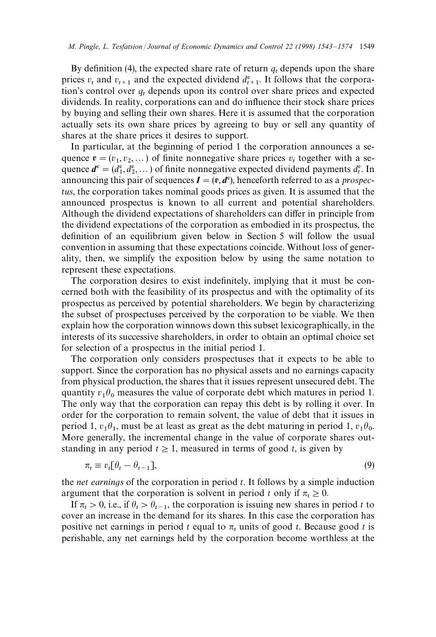By definition (4), the expected share rate of return  $q_t$  depends upon the share prices  $v_t$  and  $v_{t+1}$  and the expected dividend  $d_{t+1}^e$ . It follows that the corporation's control over  $q_t$  depends upon its control over share prices and expected dividends. In reality, corporations can and do influence their stock share prices by buying and selling their own shares. Here it is assumed that the corporation actually sets its own share prices by agreeing to buy or sell any quantity of shares at the share prices it desires to support.

In particular, at the beginning of period 1 the corporation announces a sequence  $\mathbf{v} = (v_1, v_2, \dots)$  of finite nonnegative share prices  $v_t$  together with a sequence  $\mathbf{d}^{\mathbf{e}} = (d_1^{\mathbf{e}}, d_2^{\mathbf{e}}, \dots)$  of finite nonnegative expected dividend payments  $d_i^{\mathbf{e}}$ . In quence  $\mathbf{d}^{\mathbf{e}} = (d_1^{\mathbf{e}}, d_2^{\mathbf{e}}, \dots)$  of finite nonnegative expected dividend payments  $d_i^{\mathbf{e}}$ quence  $\mathbf{a} = (a_1, a_2, \dots)$  or milite nonnegative expected dividend payments  $a_t$ . In announcing this pair of sequences  $\mathbf{I} = (\mathbf{v}, \mathbf{d}^e)$ , henceforth referred to as a *prospectus*, the corporation takes nominal goods prices as given. It is assumed that the announced prospectus is known to all current and potential shareholders. Although the dividend expectations of shareholders can differ in principle from the dividend expectations of the corporation as embodied in its prospectus, the definition of an equilibrium given below in Section 5 will follow the usual convention in assuming that these expectations coincide. Without loss of generality, then, we simplify the exposition below by using the same notation to represent these expectations.

The corporation desires to exist indefinitely, implying that it must be concerned both with the feasibility of its prospectus and with the optimality of its prospectus as perceived by potential shareholders. We begin by characterizing the subset of prospectuses perceived by the corporation to be viable. We then explain how the corporation winnows down this subset lexicographically, in the interests of its successive shareholders, in order to obtain an optimal choice set for selection of a prospectus in the initial period 1.

The corporation only considers prospectuses that it expects to be able to support. Since the corporation has no physical assets and no earnings capacity from physical production, the shares that it issues represent unsecured debt. The quantity  $v_1 \theta_0$  measures the value of corporate debt which matures in period 1. quantity  $v_1v_0$  measures the value of corporate debt which matures in period 1.<br>The only way that the corporation can repay this debt is by rolling it over. In order for the corporation to remain solvent, the value of debt that it issues in period 1,  $v_1 \theta_1$ , must be at least as great as the debt maturing in period 1,  $v_1 \theta_0$ . More generally, the incremental change in the value of corporate shares outstanding in any period  $t \ge 1$ , measured in terms of good *t*, is given by

$$
\pi_t \equiv v_t[\theta_t - \theta_{t-1}],\tag{9}
$$

the *net earnings* of the corporation in period *t*. It follows by a simple induction argument that the corporation is solvent in period *t* only if  $\pi_t \geq 0$ .

If  $\pi_t > 0$ , i.e., if  $\theta_t > \theta_{t-1}$ , the corporation is issuing new shares in period *t* to cover an increase in the demand for its shares. In this case the corporation has positive net earnings in period *t* equal to  $\pi_t$  units of good *t*. Because good *t* is perishable, any net earnings held by the corporation become worthless at the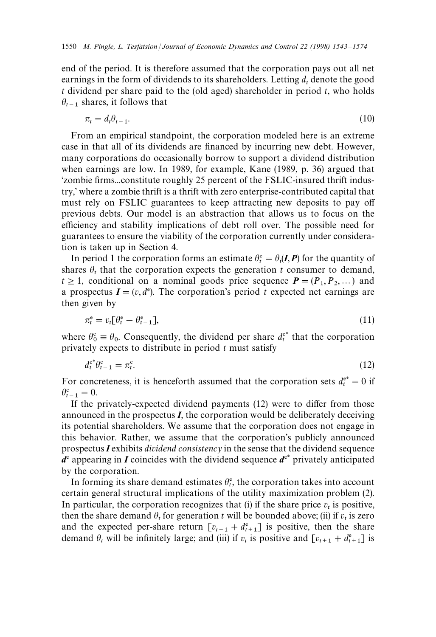end of the period. It is therefore assumed that the corporation pays out all net earnings in the form of dividends to its shareholders. Letting  $d_t$  denote the good *t* dividend per share paid to the (old aged) shareholder in period *t*, who holds  $\theta_{t-1}$  shares, it follows that

$$
\pi_t = d_t \theta_{t-1}.\tag{10}
$$

From an empirical standpoint, the corporation modeled here is an extreme case in that all of its dividends are financed by incurring new debt. However, many corporations do occasionally borrow to support a dividend distribution when earnings are low. In 1989, for example, Kane (1989, p. 36) argued that 'zombie firms...constitute roughly 25 percent of the FSLIC-insured thrift industry,' where a zombie thrift is a thrift with zero enterprise-contributed capital that must rely on FSLIC guarantees to keep attracting new deposits to pay off previous debts. Our model is an abstraction that allows us to focus on the efficiency and stability implications of debt roll over. The possible need for guarantees to ensure the viability of the corporation currently under consideration is taken up in Section 4.

In period 1 the corporation forms an estimate  $\theta_t^e = \theta_t(I, P)$  for the quantity of shares  $\theta_t$  that the corporation expects the generation *t* consumer to demand,  $t \ge 1$ , conditional on a nominal goods price sequence  $P = (P_1, P_2, ...)$  and a prospectus  $I = (v, d^e)$ . The corporation's period *t* expected net earnings are then given by

$$
\pi_t^e = v_t[\theta_t^e - \theta_{t-1}^e],\tag{11}
$$

where  $\theta_0^e \equiv \theta_0$ . Consequently, the dividend per share  $d_t^{e^*}$  that the corporation where  $v_0 = v_0$ . Consequently, the dividend per share<br>privately expects to distribute in period *t* must satisfy

$$
d_t^{e^*} \theta_{t-1}^e = \pi_t^e. \tag{12}
$$

For concreteness, it is henceforth assumed that the corporation sets  $d_t^{e^*} = 0$  if  $\theta_{t-1}^e = 0.$ 

If the privately-expected dividend payments (12) were to differ from those announced in the prospectus  $\vec{I}$ , the corporation would be deliberately deceiving its potential shareholders. We assume that the corporation does not engage in this behavior. Rather, we assume that the corporation's publicly announced prospectus*I* exhibits *dividend consistency* in the sense that the dividend sequence  $\hat{d}^e$  appearing in *I* coincides with the dividend sequence  $d^{e^*}$  privately anticipated by the corporation.

In forming its share demand estimates  $\theta_t^e$ , the corporation takes into account certain general structural implications of the utility maximization problem (2). In particular, the corporation recognizes that (i) if the share price  $v_t$  is positive, then the share demand  $\theta_t$  for generation *t* will be bounded above; (ii) if  $v_t$  is zero and the expected per-share return  $[v_{t+1} + d_{t+1}^e]$  is positive, then the share demand  $\theta_t$  will be infinitely large; and (iii) if  $v_t$  is positive and  $[v_{t+1} + d_{t+1}^e]$  is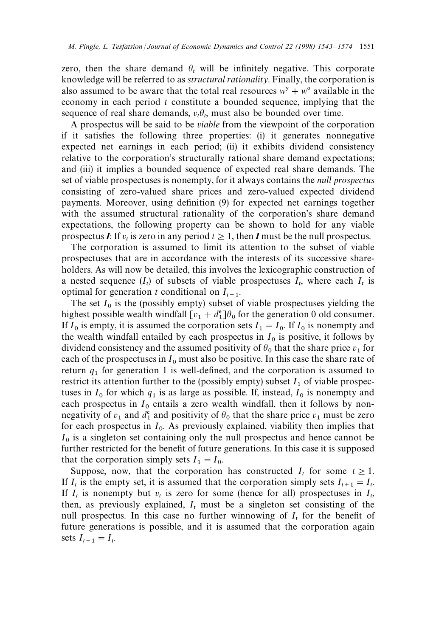zero, then the share demand  $\theta_t$  will be infinitely negative. This corporate knowledge will be referred to as *structural rationality*. Finally, the corporation is also assumed to be aware that the total real resources  $w^y + w^0$  available in the economy in each period *t* constitute a bounded sequence, implying that the sequence of real share demands,  $v_t \theta_t$ , must also be bounded over time.

 A prospectus will be said to be *viable* from the viewpoint of the corporation if it satisfies the following three properties: (i) it generates nonnegative expected net earnings in each period; (ii) it exhibits dividend consistency relative to the corporation's structurally rational share demand expectations; and (iii) it implies a bounded sequence of expected real share demands. The set of viable prospectuses is nonempty, for it always contains the *null prospectus* consisting of zero-valued share prices and zero-valued expected dividend payments. Moreover, using definition (9) for expected net earnings together with the assumed structural rationality of the corporation's share demand expectations, the following property can be shown to hold for any viable prospectus *I*: If  $v_t$  is zero in any period  $t \ge 1$ , then *I* must be the null prospectus.

 The corporation is assumed to limit its attention to the subset of viable prospectuses that are in accordance with the interests of its successive shareholders. As will now be detailed, this involves the lexicographic construction of a nested sequence  $(I_t)$  of subsets of viable prospectuses  $I_t$ , where each  $I_t$  is optimal for generation *t* conditional on  $I_{t-1}$ .

The set  $I_0$  is the (possibly empty) subset of viable prospectuses yielding the highest possible wealth windfall  $\left[ v_1 + d_1^e \right] \theta_0$  for the generation 0 old consumer. If  $I_0$  is empty, it is assumed the corporation sets  $I_1 = I_0$ . If  $I_0$  is nonempty and  $I_1 = I_0$ . the wealth windfall entailed by each prospectus in  $I_0$  is positive, it follows by dividend consistency and the assumed positivity of  $\theta_0$  that the share price  $v_1$  for each of the prospectuses in  $I_0$  must also be positive. In this case the share rate of return  $q_1$  for generation 1 is well-defined, and the corporation is assumed to restrict its attention further to the (possibly empty) subset  $I_1$  of viable prospectuses in  $I_0$  for which  $q_1$  is as large as possible. If, instead,  $I_0$  is nonempty and each prospectus in  $I_0$  entails a zero wealth windfall, then it follows by nonnegativity of  $v_1$  and  $d_1^e$  and positivity of  $\theta_0$  that the share price  $v_1$  must be zero for each prospectus in  $I_0$ . As previously explained, viability then implies that  $I_0$  is a singleton set containing only the null prospectus and hence cannot be further restricted for the benefit of future generations. In this case it is supposed that the corporation simply sets  $I_1 = I_0$ .

Suppose, now, that the corporation has constructed  $I_t$  for some  $t \ge 1$ . If  $I_t$  is the empty set, it is assumed that the corporation simply sets  $I_{t+1} = I_t$ . If  $I_t$  is nonempty but  $v_t$  is zero for some (hence for all) prospectuses in  $I_t$ , then, as previously explained,  $I_t$  must be a singleton set consisting of the null prospectus. In this case no further winnowing of  $I_t$  for the benefit of future generations is possible, and it is assumed that the corporation again sets  $I_{t+1} = I_t$ .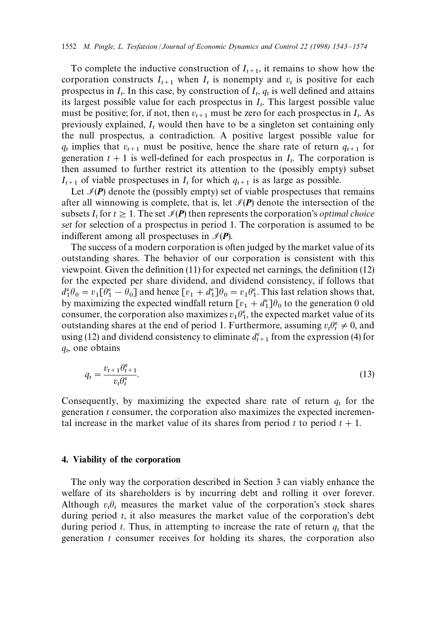To complete the inductive construction of  $I_{t+1}$ , it remains to show how the corporation constructs  $I_{t+1}$  when  $I_t$  is nonempty and  $v_t$  is positive for each prospectus in  $I_t$ . In this case, by construction of  $I_t$ ,  $q_t$  is well defined and attains its largest possible value for each prospectus in  $I_t$ . This largest possible value must be positive; for, if not, then  $v_{t+1}$  must be zero for each prospectus in  $I_t$ . As previously explained,  $I_t$  would then have to be a singleton set containing only the null prospectus, a contradiction. A positive largest possible value for  $q_t$  implies that  $v_{t+1}$  must be positive, hence the share rate of return  $q_{t+1}$  for generation  $t + 1$  is well-defined for each prospectus in  $I_t$ . The corporation is then assumed to further restrict its attention to the (possibly empty) subset  $I_{t+1}$  of viable prospectuses in  $I_t$  for which  $q_{t+1}$  is as large as possible.

Let  $\mathcal{I}(P)$  denote the (possibly empty) set of viable prospectuses that remains after all winnowing is complete, that is, let  $\mathcal{I}(P)$  denote the intersection of the subsets  $I_t$  for  $t \geq 1$ . The set  $\mathcal{I}(P)$  then represents the corporation's *optimal choice set* for selection of a prospectus in period 1. The corporation is assumed to be indifferent among all prospectuses in  $\mathcal{I}(P)$ .

The success of a modern corporation is often judged by the market value of its outstanding shares. The behavior of our corporation is consistent with this viewpoint. Given the definition (11) for expected net earnings, the definition (12) for the expected per share dividend, and dividend consistency, if follows that  $d_1^e \theta_0 = v_1 \left[ \theta_1^e - \theta_0 \right]$  and hence  $\left[ v_1 + d_1^e \right] \theta_0 = v_1 \theta_1^e$ . This last relation shows that,  $u_1v_0 = v_1[v_1 - v_0]$  and nence  $[v_1 + u_1]v_0 = v_1v_1$ . This last relation shows that,<br>by maximizing the expected windfall return  $[v_1 + d_1^c]\theta_0$  to the generation 0 old by maximizing the expected which<br>an return  $\lbrack v_1 + a_1 \rbrack v_0$  to the generation of order consumer, the corporation also maximizes  $v_1 \theta_1^e$ , the expected market value of its consumer, the corporation also maximizes  $v_1v_1$ , the expected market value of its outstanding shares at the end of period 1. Furthermore, assuming  $v_t\theta_t^e \neq 0$ , and using (12) and dividend consistency to eliminate  $d_{t+1}^e$  from the expression (4) for *q* t, one obtains

$$
q_t = \frac{v_{t+1} \theta_{t+1}^{\circ}}{v_t \theta_t^{\circ}}.
$$
\n
$$
(13)
$$

Consequently, by maximizing the expected share rate of return  $q_t$  for the generation *t* consumer, the corporation also maximizes the expected incremental increase in the market value of its shares from period  $t$  to period  $t + 1$ .

#### 4. Viability of the corporation

The only way the corporation described in Section 3 can viably enhance the welfare of its shareholders is by incurring debt and rolling it over forever. Although  $v_t \theta_t$  measures the market value of the corporation's stock shares during period *t*, it also measures the market value of the corporation's debt during period  $t$ . Thus, in attempting to increase the rate of return  $q_t$  that the generation *t* consumer receives for holding its shares, the corporation also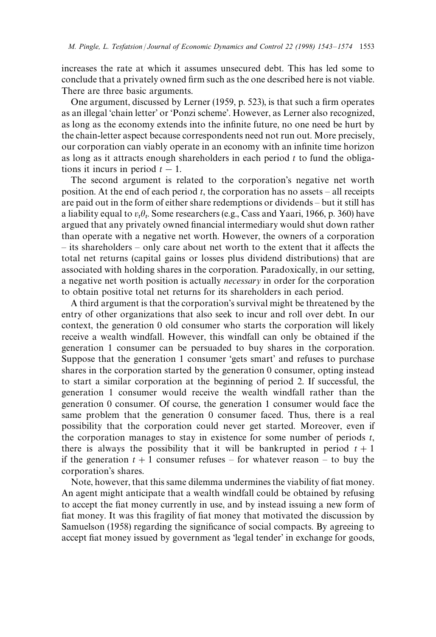increases the rate at which it assumes unsecured debt. This has led some to conclude that a privately owned firm such as the one described here is not viable. There are three basic arguments.

One argument, discussed by Lerner (1959, p. 523), is that such a firm operates as an illegal 'chain letter' or 'Ponzi scheme'. However, as Lerner also recognized, as long as the economy extends into the infinite future, no one need be hurt by the chain-letter aspect because correspondents need not run out. More precisely, our corporation can viably operate in an economy with an infinite time horizon as long as it attracts enough shareholders in each period *t* to fund the obligations it incurs in period  $t - 1$ .

The second argument is related to the corporation's negative net worth position. At the end of each period *t*, the corporation has no assets *—* all receipts are paid out in the form of either share redemptions or dividends *—* but it still has a liability equal to  $v_t \theta_t$ . Some researchers (e.g., Cass and Yaari, 1966, p. 360) have argued that any privately owned financial intermediary would shut down rather than operate with a negative net worth. However, the owners of a corporation *—* its shareholders *—* only care about net worth to the extent that it affects the total net returns (capital gains or losses plus dividend distributions) that are associated with holding shares in the corporation. Paradoxically, in our setting, a negative net worth position is actually *necessary* in order for the corporation to obtain positive total net returns for its shareholders in each period.

A third argument is that the corporation's survival might be threatened by the entry of other organizations that also seek to incur and roll over debt. In our context, the generation 0 old consumer who starts the corporation will likely receive a wealth windfall. However, this windfall can only be obtained if the generation 1 consumer can be persuaded to buy shares in the corporation. Suppose that the generation 1 consumer 'gets smart' and refuses to purchase shares in the corporation started by the generation 0 consumer, opting instead to start a similar corporation at the beginning of period 2. If successful, the generation 1 consumer would receive the wealth windfall rather than the generation 0 consumer. Of course, the generation 1 consumer would face the same problem that the generation 0 consumer faced. Thus, there is a real possibility that the corporation could never get started. Moreover, even if the corporation manages to stay in existence for some number of periods *t*, there is always the possibility that it will be bankrupted in period  $t + 1$ if the generation  $t + 1$  consumer refuses – for whatever reason – to buy the corporation's shares.

Note, however, that this same dilemma undermines the viability of fiat money. An agent might anticipate that a wealth windfall could be obtained by refusing to accept the fiat money currently in use, and by instead issuing a new form of fiat money. It was this fragility of fiat money that motivated the discussion by Samuelson (1958) regarding the significance of social compacts. By agreeing to accept fiat money issued by government as 'legal tender' in exchange for goods,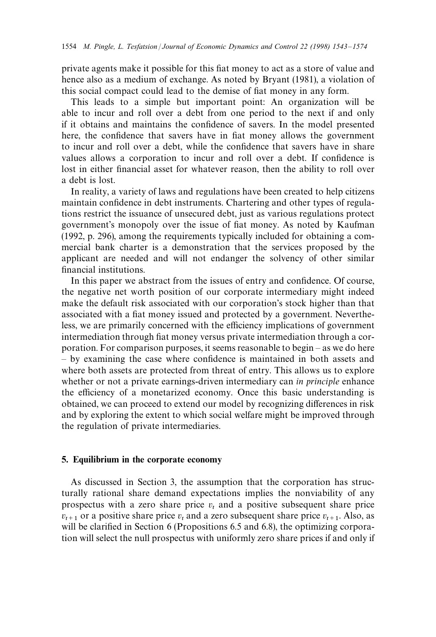private agents make it possible for this fiat money to act as a store of value and hence also as a medium of exchange. As noted by Bryant (1981), a violation of this social compact could lead to the demise of fiat money in any form.

This leads to a simple but important point: An organization will be able to incur and roll over a debt from one period to the next if and only if it obtains and maintains the confidence of savers. In the model presented here, the confidence that savers have in fiat money allows the government to incur and roll over a debt, while the confidence that savers have in share values allows a corporation to incur and roll over a debt. If confidence is lost in either financial asset for whatever reason, then the ability to roll over a debt is lost.

In reality, a variety of laws and regulations have been created to help citizens maintain confidence in debt instruments. Chartering and other types of regulations restrict the issuance of unsecured debt, just as various regulations protect government's monopoly over the issue of fiat money. As noted by Kaufman (1992, p. 296), among the requirements typically included for obtaining a commercial bank charter is a demonstration that the services proposed by the applicant are needed and will not endanger the solvency of other similar financial institutions.

In this paper we abstract from the issues of entry and confidence. Of course, the negative net worth position of our corporate intermediary might indeed make the default risk associated with our corporation's stock higher than that associated with a fiat money issued and protected by a government. Nevertheless, we are primarily concerned with the efficiency implications of government intermediation through fiat money versus private intermediation through a corporation. For comparison purposes, it seems reasonable to begin *—* as we do here *—* by examining the case where confidence is maintained in both assets and where both assets are protected from threat of entry. This allows us to explore whether or not a private earnings-driven intermediary can *in principle* enhance the efficiency of a monetarized economy. Once this basic understanding is obtained, we can proceed to extend our model by recognizing differences in risk and by exploring the extent to which social welfare might be improved through the regulation of private intermediaries.

#### 5. Equilibrium in the corporate economy

As discussed in Section 3, the assumption that the corporation has structurally rational share demand expectations implies the nonviability of any prospectus with a zero share price  $v_t$  and a positive subsequent share price  $v_{t+1}$  or a positive share price  $v_t$  and a zero subsequent share price  $v_{t+1}$ . Also, as will be clarified in Section 6 (Propositions 6.5 and 6.8), the optimizing corporation will select the null prospectus with uniformly zero share prices if and only if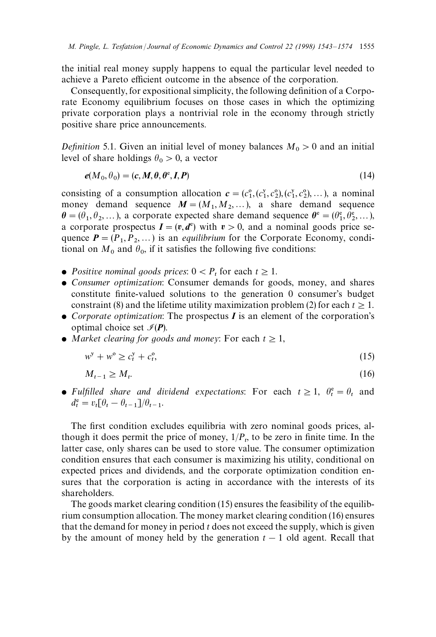the initial real money supply happens to equal the particular level needed to achieve a Pareto efficient outcome in the absence of the corporation.

Consequently, for expositional simplicity, the following definition of a Corporate Economy equilibrium focuses on those cases in which the optimizing private corporation plays a nontrivial role in the economy through strictly positive share price announcements.

*Definition* 5.1. Given an initial level of money balances  $M_0 > 0$  and an initial level of share holdings  $\theta_0 > 0$ , a vector

$$
e(M_0, \theta_0) = (c, M, \theta, \theta^c, I, P) \tag{14}
$$

consisting of a consumption allocation  $c = (c_1^0, (c_1^0, c_2^0), (c_1^y, c_2^0), \dots)$ , a nominal money demand sequence  $M = (M_1, M_2, ...)$ , a share demand sequence  $\theta = (\theta_1, \theta_2, \dots)$ , a corporate expected share demand sequence  $\theta^e = (\theta_1^e, \theta_2^e, \dots)$ ,  $\mathbf{v} = (v_1, v_2, \dots)$ , a corporate expected share definant sequence  $\mathbf{v} = (v_1, v_2, \dots)$ ,<br>a corporate prospectus  $\mathbf{I} = (\mathbf{v}, \mathbf{d}^e)$  with  $\mathbf{v} > 0$ , and a nominal goods price sequence  $P = (P_1, P_2, ...)$  is an *equilibrium* for the Corporate Economy, conditional on  $M_0$  and  $\theta_0$ , if it satisfies the following five conditions:

- *Positive nominal goods prices:*  $0 < P_t$  for each  $t \ge 1$ .
- f *Consumer optimization*: Consumer demands for goods, money, and shares constitute finite-valued solutions to the generation 0 consumer's budget constraint (8) and the lifetime utility maximization problem (2) for each  $t\geq 1$ .
- $\bullet$  *Corporate optimization*: The prospectus  $I$  is an element of the corporation's optimal choice set  $\mathcal{I}(P)$ .
- *Market clearing for goods and money*: For each  $t \ge 1$ ,

$$
w^{\rm y} + w^{\rm o} \ge c_t^{\rm y} + c_t^{\rm o},\tag{15}
$$

$$
M_{t-1} \ge M_t. \tag{16}
$$

• *Fulfilled share and dividend expectations*: For each  $t \ge 1$ ,  $\theta_t^e = \theta_t$  and  $d_t^e = v_t [\theta_t - \theta_{t-1}]/\theta_{t-1}.$ 

The first condition excludes equilibria with zero nominal goods prices, although it does permit the price of money,  $1/P_t$ , to be zero in finite time. In the latter case, only shares can be used to store value. The consumer optimization condition ensures that each consumer is maximizing his utility, conditional on expected prices and dividends, and the corporate optimization condition ensures that the corporation is acting in accordance with the interests of its shareholders.

The goods market clearing condition (15) ensures the feasibility of the equilibrium consumption allocation. The money market clearing condition (16) ensures that the demand for money in period *t* does not exceed the supply, which is given by the amount of money held by the generation  $t - 1$  old agent. Recall that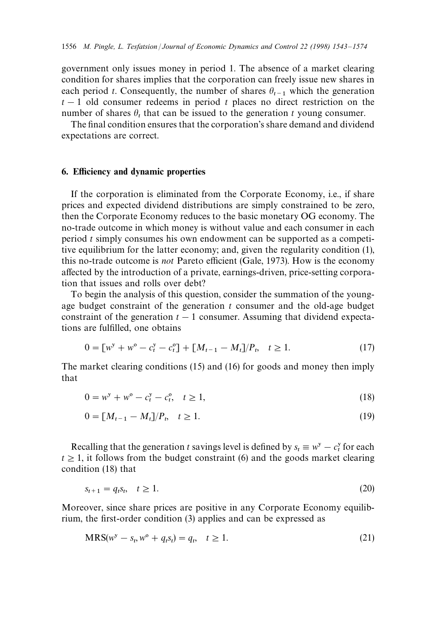government only issues money in period 1. The absence of a market clearing condition for shares implies that the corporation can freely issue new shares in each period *t*. Consequently, the number of shares  $\theta_{t-1}$  which the generation  $t-1$  old consumer redeems in period  $t$  places no direct restriction on the number of shares  $\theta_t$  that can be issued to the generation *t* young consumer.

 The final condition ensures that the corporation's share demand and dividend expectations are correct.

#### 6. Efficiency and dynamic properties

If the corporation is eliminated from the Corporate Economy, i.e., if share prices and expected dividend distributions are simply constrained to be zero, then the Corporate Economy reduces to the basic monetary OG economy. The no-trade outcome in which money is without value and each consumer in each period *t* simply consumes his own endowment can be supported as a competitive equilibrium for the latter economy; and, given the regularity condition (1), this no-trade outcome is *not* Pareto efficient (Gale, 1973). How is the economy affected by the introduction of a private, earnings-driven, price-setting corporation that issues and rolls over debt?

To begin the analysis of this question, consider the summation of the youngage budget constraint of the generation *t* consumer and the old-age budget constraint of the generation  $t - 1$  consumer. Assuming that dividend expectations are fulfilled, one obtains

$$
0 = [w^{y} + w^{o} - c_{t}^{y} - c_{t}^{o}] + [M_{t-1} - M_{t}]/P_{t}, \quad t \ge 1.
$$
 (17)

The market clearing conditions (15) and (16) for goods and money then imply that

$$
0 = w^y + w^0 - c_t^y - c_t^0, \quad t \ge 1,
$$
\n(18)

$$
0 = [M_{t-1} - M_t]/P_t, \quad t \ge 1.
$$
\n(19)

Recalling that the generation *t* savings level is defined by  $s_t \equiv w^y - c_t^y$  for each  $t \geq 1$ , it follows from the budget constraint (6) and the goods market clearing condition (18) that

$$
s_{t+1} = q_t s_t, \quad t \ge 1. \tag{20}
$$

Moreover, since share prices are positive in any Corporate Economy equilibrium, the first-order condition (3) applies and can be expressed as

$$
MRS(w^y - s_t, w^o + q_t s_t) = q_t, \quad t \ge 1.
$$
\n(21)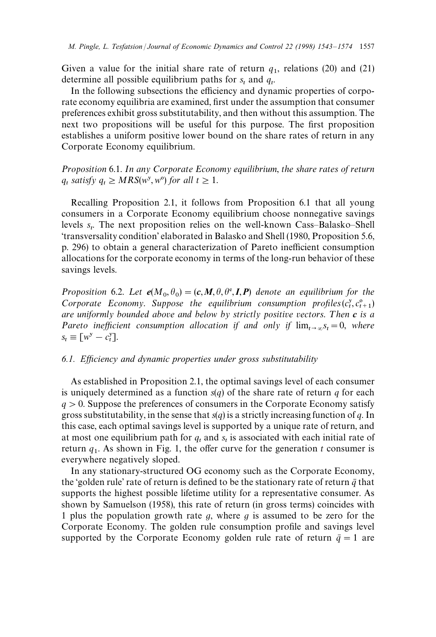Given a value for the initial share rate of return  $q_1$ , relations (20) and (21) determine all possible equilibrium paths for  $s_t$  and  $q_t$ .

 In the following subsections the efficiency and dynamic properties of corporate economy equilibria are examined, first under the assumption that consumer preferences exhibit gross substitutability, and then without this assumption. The next two propositions will be useful for this purpose. The first proposition establishes a uniform positive lower bound on the share rates of return in any Corporate Economy equilibrium.

*Proposition* 6.1. *In any Corporate Economy equilibrium*, *the share rates of return*  $q_t$  *satisfy*  $q_t \geq MRS(w^y, w^0)$  *for all t*  $\geq 1$ .

Recalling Proposition 2.1, it follows from Proposition 6.1 that all young consumers in a Corporate Economy equilibrium choose nonnegative savings levels *s* t. The next proposition relies on the well-known Cass*—*Balasko*—*Shell 'transversality condition' elaborated in Balasko and Shell (1980, Proposition 5.6, p. 296) to obtain a general characterization of Pareto inefficient consumption allocations for the corporate economy in terms of the long-run behavior of these savings levels.

*Proposition* 6.2. Let  $e(M_0, \theta_0) = (c, M, \theta, \theta^c, I, P)$  denote an equilibrium for the *Corporate Economy. Suppose the equilibrium consumption profiles*  $(c_t^y, c_{t+1}^o)$ *are uniformly bounded above and below by strictly positive vectors. Then c is a Pareto inefficient consumption allocation if and only if*  $\lim_{t\to\infty} s_t = 0$ , where  $s_t \equiv [w^y - c_t^y].$ 

### *6.1. Efficiency and dynamic properties under gross substitutability*

As established in Proposition 2.1, the optimal savings level of each consumer is uniquely determined as a function  $s(q)$  of the share rate of return *q* for each  $q > 0$ . Suppose the preferences of consumers in the Corporate Economy satisfy gross substitutability, in the sense that  $s(q)$  is a strictly increasing function of *q*. In this case, each optimal savings level is supported by a unique rate of return, and at most one equilibrium path for  $q_t$  and  $s_t$  is associated with each initial rate of return  $q_1$ . As shown in Fig. 1, the offer curve for the generation  $t$  consumer is Feturn  $q_1$ . As shown in Fig. 1.<br>everywhere negatively sloped.

In any stationary-structured OG economy such as the Corporate Economy, the 'golden rule' rate of return is defined to be the stationary rate of return  $\bar{q}$  that supports the highest possible lifetime utility for a representative consumer. As shown by Samuelson (1958), this rate of return (in gross terms) coincides with 1 plus the population growth rate *g*, where *g* is assumed to be zero for the Corporate Economy. The golden rule consumption profile and savings level supported by the Corporate Economy golden rule rate of return  $\bar{q} = 1$  are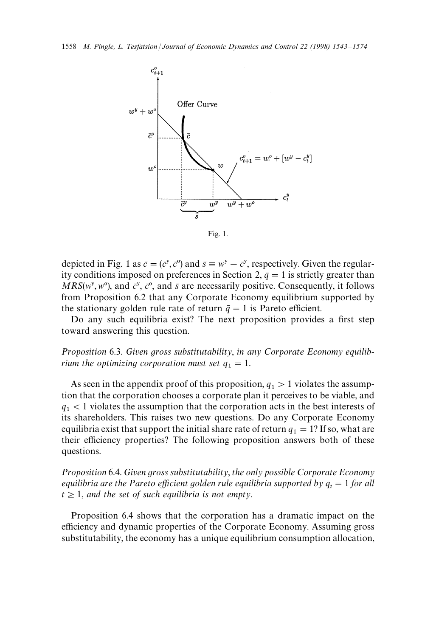

Fig. 1.

depicted in Fig. 1 as  $\bar{c} = (\bar{c}^y, \bar{c}^v)$  and  $\bar{s} \equiv w^y - \bar{c}^y$ , respectively. Given the regularity conditions imposed on preferences in Section 2,  $\bar{q} = 1$  is strictly greater than *MRS*( $w^y$ ,  $w^0$ ), and  $\bar{c}^y$ ,  $\bar{c}^0$ , and  $\bar{s}$  are necessarily positive. Consequently, it follows from Proposition 6.2 that any Corporate Economy equilibrium supported by the stationary golden rule rate of return  $\bar{q} = 1$  is Pareto efficient.

Do any such equilibria exist? The next proposition provides a first step toward answering this question.

*Proposition* 6.3. *Given gross substitutability*, *in any Corporate Economy equilibrium the optimizing corporation must set*  $q_1 = 1$ .

As seen in the appendix proof of this proposition,  $q_1 > 1$  violates the assump-As seen in the appendix proof of this proposition,  $q_1 > 1$  violates the assumption that the corporation chooses a corporate plan it perceives to be viable, and  $q_1$  < 1 violates the assumption that the corporation acts in the best interests of  $q_1$   $\lt$  1 violates the assumption that the corporation acts in the best interests of its shareholders. This raises two new questions. Do any Corporate Economy equilibria exist that support the initial share rate of return  $q_1 = 1$ ? If so, what are their efficiency properties? The following proposition answers both of these questions.

*Proposition* 6.4. *Given gross substitutability*, *the only possible Corporate Economy equilibria are the Pareto efficient golden rule equilibria supported by*  $q_t = 1$  *for all*  $t \geq 1$ , *and the set of such equilibria is not empty*.

Proposition 6.4 shows that the corporation has a dramatic impact on the efficiency and dynamic properties of the Corporate Economy. Assuming gross substitutability, the economy has a unique equilibrium consumption allocation,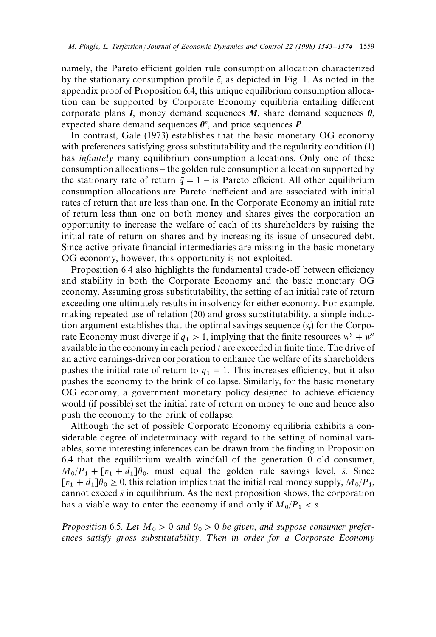namely, the Pareto efficient golden rule consumption allocation characterized by the stationary consumption profile  $\bar{c}$ , as depicted in Fig. 1. As noted in the appendix proof of Proposition 6.4, this unique equilibrium consumption allocation can be supported by Corporate Economy equilibria entailing different corporate plans *I*, money demand sequences *M*, share demand sequences  $\theta$ , expected share demand sequences  $\theta^e$ , and price sequences **P**.

In contrast, Gale (1973) establishes that the basic monetary OG economy with preferences satisfying gross substitutability and the regularity condition (1) has *infinitely* many equilibrium consumption allocations. Only one of these consumption allocations *—* the golden rule consumption allocation supported by the stationary rate of return  $\bar{q} = 1 -$  is Pareto efficient. All other equilibrium consumption allocations are Pareto inefficient and are associated with initial rates of return that are less than one. In the Corporate Economy an initial rate of return less than one on both money and shares gives the corporation an opportunity to increase the welfare of each of its shareholders by raising the initial rate of return on shares and by increasing its issue of unsecured debt. Since active private financial intermediaries are missing in the basic monetary OG economy, however, this opportunity is not exploited.

Proposition 6.4 also highlights the fundamental trade-off between efficiency and stability in both the Corporate Economy and the basic monetary OG economy. Assuming gross substitutability, the setting of an initial rate of return exceeding one ultimately results in insolvency for either economy. For example, making repeated use of relation (20) and gross substitutability, a simple induction argument establishes that the optimal savings sequence  $(s_t)$  for the Corporate Economy must diverge if  $q_1 > 1$ , implying that the finite resources  $w^y + w^0$ available in the economy in each period *t* are exceeded in finite time. The drive of an active earnings-driven corporation to enhance the welfare of its shareholders pushes the initial rate of return to  $q_1 = 1$ . This increases efficiency, but it also pushes the find take of feturn to  $q_1 = 1$ . This increases enterity, but it also pushes the economy to the brink of collapse. Similarly, for the basic monetary OG economy, a government monetary policy designed to achieve efficiency would (if possible) set the initial rate of return on money to one and hence also push the economy to the brink of collapse.

Although the set of possible Corporate Economy equilibria exhibits a considerable degree of indeterminacy with regard to the setting of nominal variables, some interesting inferences can be drawn from the finding in Proposition 6.4 that the equilibrium wealth windfall of the generation 0 old consumer,  $M_0/P_1 + [v_1 + d_1]\theta_0$ , must equal the golden rule savings level, *s*. Since  $[u_0/t_1 + u_1]\theta_0 \ge 0$ , this relation implies that the initial real money supply,  $M_0/P_1$ ,  $\lfloor v_1 + u_1 \rfloor v_0 \geq 0$ , this relation implies that the find it real money supply,  $w_0/r_1$ , cannot exceed  $\bar{s}$  in equilibrium. As the next proposition shows, the corporation has a viable way to enter the economy if and only if  $M_0/P_1 < \bar{s}$ .

*Proposition* 6.5. Let  $M_0 > 0$  *and*  $\theta_0 > 0$  *be given, and suppose consumer prefer*ences satisfy gross substitutability. Then in order for a Corporate Economy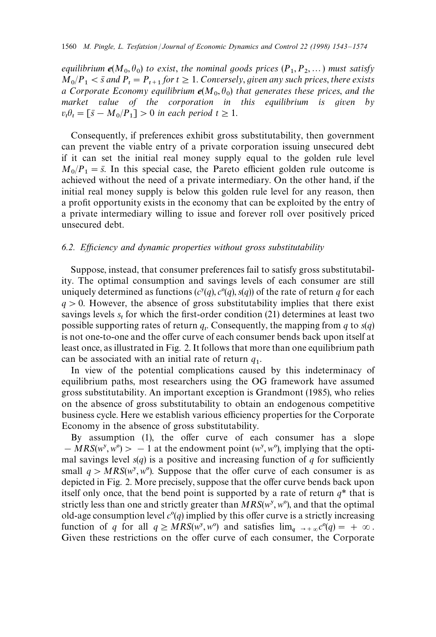*equilibrium*  $e(M_0, \theta_0)$  *to exist, the nominal goods prices*  $(P_1, P_2, ...)$  *must satisfy*  $M_0/P_1 < \bar{s}$  and  $P_t = P_{t+1}$  for  $t \geq 1$ . Conversely, given any such prices, there exists *a* Corporate Economy equilibrium  $e(M_0, \theta_0)$  that generates these prices, and the a Corporate Economy equitiorium  $e(M_0, v_0)$  that generates these prices, and the<br>market value of the corporation in this equilibrium is given by  $v_t \theta_t = [\bar{s} - M_0/P_1] > 0$  *in each period*  $t \geq 1$ .

Consequently, if preferences exhibit gross substitutability, then government can prevent the viable entry of a private corporation issuing unsecured debt if it can set the initial real money supply equal to the golden rule level  $M_0/P_1 = \bar{s}$ . In this special case, the Pareto efficient golden rule outcome is achieved without the need of a private intermediary. On the other hand, if the initial real money supply is below this golden rule level for any reason, then a profit opportunity exists in the economy that can be exploited by the entry of a private intermediary willing to issue and forever roll over positively priced unsecured debt.

#### *6.2. Efficiency and dynamic properties without gross substitutability*

Suppose, instead, that consumer preferences fail to satisfy gross substitutability. The optimal consumption and savings levels of each consumer are still uniquely determined as functions  $(c^{y}(q), c^{0}(q), s(q))$  of the rate of return *q* for each  $q > 0$ . However, the absence of gross substitutability implies that there exist savings levels  $s_t$  for which the first-order condition (21) determines at least two possible supporting rates of return  $q_t$ . Consequently, the mapping from  $q$  to  $s(q)$  is not one-to-one and the offer curve of each consumer bends back upon itself at least once, as illustrated in Fig. 2. It follows that more than one equilibrium path can be associated with an initial rate of return *q* .

In the associated with an initial rate of fetuling  $q_1$ .<br>In view of the potential complications caused by this indeterminacy of equilibrium paths, most researchers using the OG framework have assumed gross substitutability. An important exception is Grandmont (1985), who relies on the absence of gross substitutability to obtain an endogenous competitive business cycle. Here we establish various efficiency properties for the Corporate Economy in the absence of gross substitutability.

By assumption (1), the offer curve of each consumer has a slope  $-MRS(w^y, w^0) > -1$  at the endowment point  $(w^y, w^0)$ , implying that the optimal savings level  $s(q)$  is a positive and increasing function of  $q$  for sufficiently small  $q > MRS(w^y, w^0)$ . Suppose that the offer curve of each consumer is as depicted in Fig. 2. More precisely, suppose that the offer curve bends back upon itself only once, that the bend point is supported by a rate of return *q\** that is strictly less than one and strictly greater than  $MRS(w^y, w^0)$ , and that the optimal old-age consumption level  $c^{\circ}(q)$  implied by this offer curve is a strictly increasing function of *q* for all  $q \geq MRS(w^y, w^0)$  and satisfies  $\lim_{q \to +\infty} c^0(q) = +\infty$ . Given these restrictions on the offer curve of each consumer, the Corporate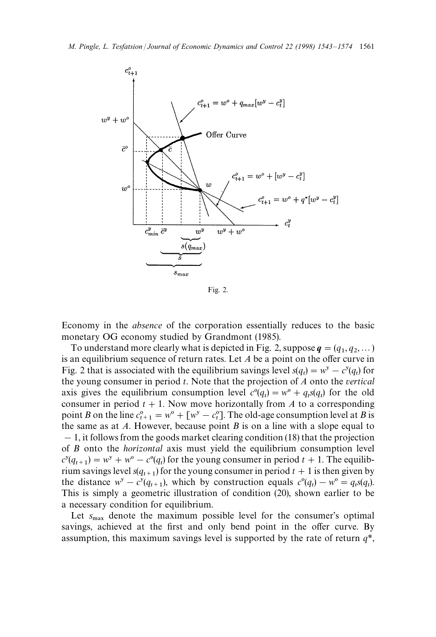

Fig. 2.

Economy in the *absence* of the corporation essentially reduces to the basic monetary OG economy studied by Grandmont (1985).

To understand more clearly what is depicted in Fig. 2, suppose  $q = (q_1, q_2, \dots)$ 10 understand more crearly what is depicted in Fig. 2, suppose  $q = (q_1, q_2, \dots)$  is an equilibrium sequence of return rates. Let *A* be a point on the offer curve in Fig. 2 that is associated with the equilibrium savings level  $s(q_t) = w^y - c^y(q_t)$  for the young consumer in period *t*. Note that the projection of *A* onto the *vertical* axis gives the equilibrium consumption level  $c^{0}(q_{t}) = w^{0} + q_{t}s(q_{t})$  for the old consumer in period  $t + 1$ . Now move horizontally from *A* to a corresponding point *B* on the line  $c_{t+1}^0 = w^0 + [w^y - c_t^0]$ . The old-age consumption level at *B* is the same as at *A*. However, because point *B* is on a line with a slope equal to  $-1$ , it follows from the goods market clearing condition (18) that the projection of *B* onto the *horizontal* axis must yield the equilibrium consumption level  $c^{y}(q_{t+1}) = w^{y} + w^{o} - c^{o}(q_{t})$  for the young consumer in period  $t + 1$ . The equilibrium savings level  $s(q_{t+1})$  for the young consumer in period  $t + 1$  is then given by the distance  $w^y - c^y(q_{t+1})$ , which by construction equals  $c^0(q_t) - w^0 = q_t s(q_t)$ . This is simply a geometric illustration of condition (20), shown earlier to be a necessary condition for equilibrium.

Let  $s_{\text{max}}$  denote the maximum possible level for the consumer's optimal savings, achieved at the first and only bend point in the offer curve. By assumption, this maximum savings level is supported by the rate of return *q\**,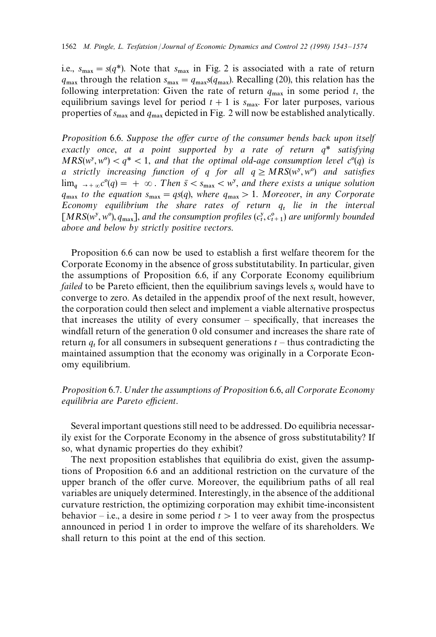i.e.,  $s_{\text{max}} = s(q^*)$ . Note that  $s_{\text{max}}$  in Fig. 2 is associated with a rate of return  $q_{\text{max}}$  through the relation  $s_{\text{max}} = q_{\text{max}} s(q_{\text{max}})$ . Recalling (20), this relation has the following interpretation: Given the rate of return  $q_{\text{max}}$  in some period *t*, the equilibrium savings level for period  $t + 1$  is  $s_{\text{max}}$ . For later purposes, various properties of  $s_{\text{max}}$  and  $q_{\text{max}}$  depicted in Fig. 2 will now be established analytically.

*Proposition* 6.6. *Suppose the offer curve of the consumer bends back upon itself exactly once*, *at a point supported by a rate of return q\* satisfying*  $MRS(w^y, w^o) < q^* < 1$ , and that the optimal old-*age consumption level*  $c^o(q)$  *is a* strictly increasing function of q for all  $q \geq MRS(w^y, w^0)$  and satisfies  $\lim_{q \to +\infty} c^{\circ}(q) = +\infty$ . Then  $\bar{s} < s_{\max} < w^{\gamma}$ , and there exists a unique solution  $q_{\text{max}}$  to the equation  $s_{\text{max}} = qs(q)$ , where  $q_{\text{max}} > 1$ . Moreover, *in any Corporate Economy equilibrium the share rates of return*  $q_t$  *lie in the interval*  $[MRS(w^y, w^0), q_{\text{max}}]$ , and the consumption profiles  $(c_t^y, c_{t+1}^0)$  are uniformly bounded *above and below by strictly positive vectors*.

Proposition 6.6 can now be used to establish a first welfare theorem for the Corporate Economy in the absence of gross substitutability. In particular, given the assumptions of Proposition 6.6, if any Corporate Economy equilibrium *failed* to be Pareto efficient, then the equilibrium savings levels  $s_t$  would have to converge to zero. As detailed in the appendix proof of the next result, however, the corporation could then select and implement a viable alternative prospectus that increases the utility of every consumer *—* specifically, that increases the windfall return of the generation 0 old consumer and increases the share rate of return  $q_t$  for all consumers in subsequent generations  $t$  – thus contradicting the maintained assumption that the economy was originally in a Corporate Economy equilibrium.

## *Proposition* 6.7. º*nder the assumptions of Proposition* 6.6, *all Corporate Economy equilibria are Pareto efficient*.

Several important questions still need to be addressed. Do equilibria necessarily exist for the Corporate Economy in the absence of gross substitutability? If so, what dynamic properties do they exhibit?

The next proposition establishes that equilibria do exist, given the assumptions of Proposition 6.6 and an additional restriction on the curvature of the upper branch of the offer curve. Moreover, the equilibrium paths of all real variables are uniquely determined. Interestingly, in the absence of the additional curvature restriction, the optimizing corporation may exhibit time-inconsistent behavior  $-$  i.e., a desire in some period  $t > 1$  to veer away from the prospectus announced in period 1 in order to improve the welfare of its shareholders. We shall return to this point at the end of this section.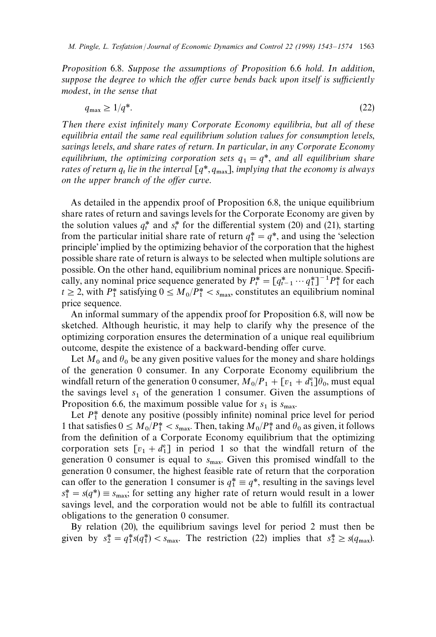*Proposition* 6.8. *Suppose the assumptions of Proposition* 6.6 *hold*. *In addition*, *suppose the degree to which the offer curve bends back upon itself is sufficiently modest*, *in the sense that*

$$
q_{\max} \ge 1/q^*.\tag{22}
$$

*Then there exist infinitely many Corporate Economy equilibria, but all of these equilibria entail the same real equilibrium solution values for consumption levels*, *savings levels*, *and share rates of return*. *In particular*, *in any Corporate Economy equilibrium, the optimizing corporation sets*  $q_1 = q^*$ , *and all equilibrium share rates of return q*t*lie in the interval* [*q\**, *q* .!9], *implying that the economy is always on the upper branch of the offer curve*.

As detailed in the appendix proof of Proposition 6.8, the unique equilibrium share rates of return and savings levels for the Corporate Economy are given by the solution values  $q_t^*$  and  $s_t^*$  for the differential system (20) and (21), starting from the particular initial share rate of return  $q_1^* = q^*$ , and using the 'selection principle' implied by the optimizing behavior of the corporation that the highest principle' implied by the optimizing behavior of the corporation that the highest possible share rate of return is always to be selected when multiple solutions are possible. On the other hand, equilibrium nominal prices are nonunique. Specifically, any nominal price sequence generated by  $P_t^* = [q_{t-1}^* \cdots q_1^*]^{-1} P_1^*$  for each  $t \ge 2$ , with  $P_1^*$  satisfying  $0 \le M_0/P_1^* < s_{\text{max}}$ , constitutes an equilibrium nominal  $t \ge 2$ . price sequence.

An informal summary of the appendix proof for Proposition 6.8, will now be sketched. Although heuristic, it may help to clarify why the presence of the optimizing corporation ensures the determination of a unique real equilibrium outcome, despite the existence of a backward-bending offer curve.

Let  $M_0$  and  $\theta_0$  be any given positive values for the money and share holdings of the generation 0 consumer. In any Corporate Economy equilibrium the windfall return of the generation 0 consumer,  $M_0/P_1 + [v_1 + d_1^e] \theta_0$ , must equal which an return of the generation 0 consumer,  $M_0/r_1 + [v_1 + u_1]v_0$ , must equal the savings level  $s_1$  of the generation 1 consumer. Given the assumptions of Proposition 6.6, the maximum possible value for  $s_1$  is  $s_{\text{max}}$ .

Let *P*<sup>\*</sup> denote any positive (possibly infinite) nominal price level for period 1 that satisfies  $0 \leq M_0/P_1^* < s_{\text{max}}$ . Then, taking  $M_0/P_1^*$  and  $\theta_0$  as given, it follows from the definition of a Corporate Economy equilibrium that the optimizing corporation sets  $[v_1 + d_1^e]$  in period 1 so that the windfall return of the corporation sets  $\lfloor u_1 + u_1 \rfloor$  in period 1 so that the windian return of the generation 0 consumer is equal to  $s_{\text{max}}$ . Given this promised windfall to the generation 0 consumer, the highest feasible rate of return that the corporation can offer to the generation 1 consumer is  $q_1^* \equiv q^*$ , resulting in the savings level  $s_1^* = s(q^*) \equiv s_{\text{max}}$ , for setting any higher rate of return would result in a lower savings level, and the corporation would not be able to fulfill its contractual obligations to the generation 0 consumer.

By relation (20), the equilibrium savings level for period 2 must then be given by  $s_2^* = q_1^* s(q_1^*) < s_{\text{max}}$ . The restriction (22) implies that  $s_2^* \ge s(q_{\text{max}})$ .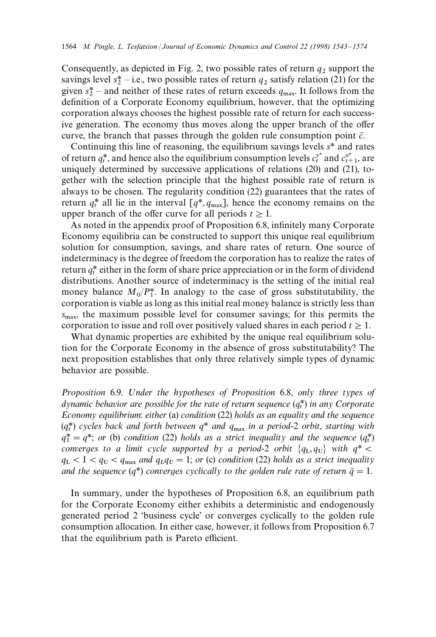Consequently, as depicted in Fig. 2, two possible rates of return  $q_2$  support the savings level  $s_2^*$  – i.e., two possible rates of return  $q_2$  satisfy relation (21) for the given  $s_2^*$  – and neither of these rates of return exceeds  $q_{\text{max}}$ . It follows from the definition of a Corporate Economy equilibrium, however, that the optimizing corporation always chooses the highest possible rate of return for each successive generation. The economy thus moves along the upper branch of the offer curve, the branch that passes through the golden rule consumption point  $\bar{c}$ .

Continuing this line of reasoning, the equilibrium savings levels *s\** and rates of return  $q_t^*$ , and hence also the equilibrium consumption levels  $c_t^{y^*}$  and  $c_{t+1}^{o^*}$ , are of return  $q_i^2$ , and hence also the equilibrium consumption levels  $c_i^2$  and  $c_{i+1}^2$ , are uniquely determined by successive applications of relations (20) and (21), together with the selection principle that the highest possible rate of return is always to be chosen. The regularity condition (22) guarantees that the rates of return  $q_t^*$  all lie in the interval  $[q^*, q_{\text{max}}]$ , hence the economy remains on the upper branch of the offer curve for all periods  $t \ge 1$ .

As noted in the appendix proof of Proposition 6.8, infinitely many Corporate Economy equilibria can be constructed to support this unique real equilibrium solution for consumption, savings, and share rates of return. One source of indeterminacy is the degree of freedom the corporation has to realize the rates of return  $q_t^*$  either in the form of share price appreciation or in the form of dividend distributions. Another source of indeterminacy is the setting of the initial real money balance  $M_0/P_1^*$ . In analogy to the case of gross substitutability, the money balance  $M_0/r_1$ . In analogy to the case of gross substitutability, the corporation is viable as long as this initial real money balance is strictly less than  $s<sub>max</sub>$ , the maximum possible level for consumer savings; for this permits the corporation to issue and roll over positively valued shares in each period  $t \ge 1$ .

What dynamic properties are exhibited by the unique real equilibrium solution for the Corporate Economy in the absence of gross substitutability? The next proposition establishes that only three relatively simple types of dynamic behavior are possible.

*Proposition* 6.9. Under the hypotheses of Proposition 6.8, only three types of *dynamic behavior are possible for the rate of return sequence* (*q\** t) *in any Corporate Economy equilibrium*: *either* (a) *condition* (22) *holds as an equality and the sequence*  $(q_t^*)$  *cycles back and forth between*  $q^*$  *and*  $q_{\text{max}}$  *in a period-2 orbit, starting with*  $q_1^* = q^*$ ; *or* (b) *condition* (22) *holds as a strict inequality and the sequence*  $(q_t^*)$ *converges to a limit cycle supported by a period-2 <i>orbit*  $\{q_L, q_U\}$  *with*  $q^*$  <  $q_{\text{L}} < 1 < q_{\text{U}} < q_{\text{max}}$  and  $q_{\text{L}}q_{\text{U}} = 1$ ; *or* (c) *condition* (22) *holds as a strict inequality and the sequence* ( $q^*$ ) *converges cyclically to the golden rule rate of return*  $\bar{q} = 1$ .

In summary, under the hypotheses of Proposition 6.8, an equilibrium path for the Corporate Economy either exhibits a deterministic and endogenously generated period 2 'business cycle' or converges cyclically to the golden rule consumption allocation. In either case, however, it follows from Proposition 6.7 that the equilibrium path is Pareto efficient.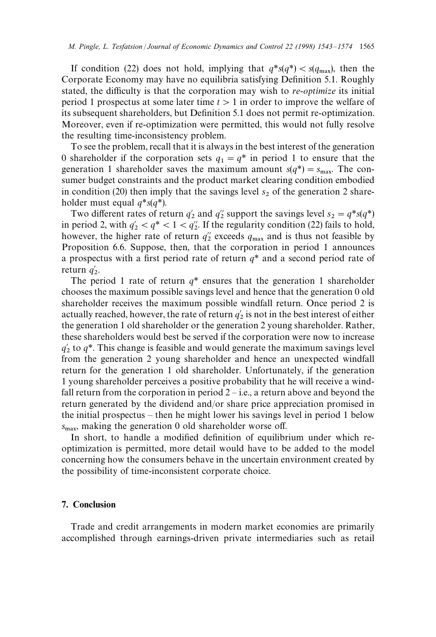If condition (22) does not hold, implying that  $q^*s(q^*) < s(q_{\text{max}})$ , then the Corporate Economy may have no equilibria satisfying Definition 5.1. Roughly stated, the difficulty is that the corporation may wish to *re*-*optimize* its initial period 1 prospectus at some later time  $t > 1$  in order to improve the welfare of its subsequent shareholders, but Definition 5.1 does not permit re-optimization. Moreover, even if re-optimization were permitted, this would not fully resolve the resulting time-inconsistency problem.

To see the problem, recall that it is always in the best interest of the generation 0 shareholder if the corporation sets  $q_1 = q^*$  in period 1 to ensure that the generation 1 shareholder saves the maximum amount  $s(q^*) = s_{\text{max}}$ . The consumer budget constraints and the product market clearing condition embodied in condition (20) then imply that the savings level  $s_2$  of the generation 2 shareholder must equal *q\*s*(*q\**).

Two different rates of return  $q'_2$  and  $q''_2$  support the savings level  $s_2 = q^*s(q^*)$ in period 2, with  $q'_2 < q^* < 1 < q''_2$ . If the regularity condition (22) fails to hold, however, the higher rate of return  $q_2$ <sup>"</sup> exceeds  $q_{\text{max}}$  and is thus not feasible by Proposition 6.6. Suppose, then, that the corporation in period 1 announces a prospectus with a first period rate of return *q\** and a second period rate of return  $q'_2$ .

The period 1 rate of return  $q^*$  ensures that the generation 1 shareholder chooses the maximum possible savings level and hence that the generation 0 old shareholder receives the maximum possible windfall return. Once period 2 is actually reached, however, the rate of return  $q'_2$  is not in the best interest of either the generation 1 old shareholder or the generation 2 young shareholder. Rather, these shareholders would best be served if the corporation were now to increase  $q'_2$  to  $q^*$ . This change is feasible and would generate the maximum savings level from the generation 2 young shareholder and hence an unexpected windfall return for the generation 1 old shareholder. Unfortunately, if the generation 1 young shareholder perceives a positive probability that he will receive a windfall return from the corporation in period  $2 - i.e., a$  return above and beyond the return generated by the dividend and/or share price appreciation promised in the initial prospectus *—* then he might lower his savings level in period 1 below *s*<sub>max</sub>, making the generation 0 old shareholder worse off.

In short, to handle a modified definition of equilibrium under which reoptimization is permitted, more detail would have to be added to the model concerning how the consumers behave in the uncertain environment created by the possibility of time-inconsistent corporate choice.

#### 7. Conclusion

Trade and credit arrangements in modern market economies are primarily accomplished through earnings-driven private intermediaries such as retail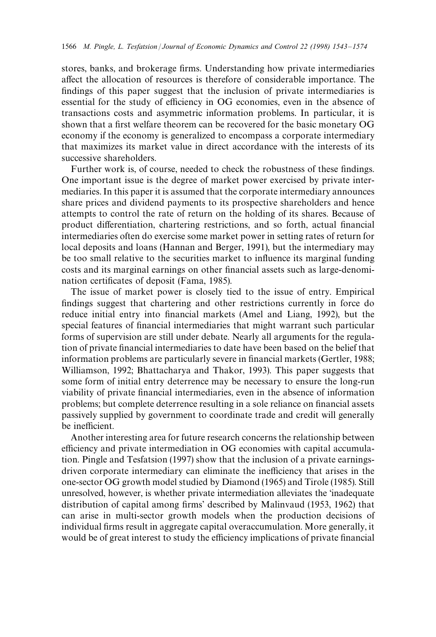stores, banks, and brokerage firms. Understanding how private intermediaries affect the allocation of resources is therefore of considerable importance. The findings of this paper suggest that the inclusion of private intermediaries is essential for the study of efficiency in OG economies, even in the absence of transactions costs and asymmetric information problems. In particular, it is shown that a first welfare theorem can be recovered for the basic monetary OG economy if the economy is generalized to encompass a corporate intermediary that maximizes its market value in direct accordance with the interests of its successive shareholders.

Further work is, of course, needed to check the robustness of these findings. One important issue is the degree of market power exercised by private intermediaries. In this paper it is assumed that the corporate intermediary announces share prices and dividend payments to its prospective shareholders and hence attempts to control the rate of return on the holding of its shares. Because of product differentiation, chartering restrictions, and so forth, actual financial intermediaries often do exercise some market power in setting rates of return for local deposits and loans (Hannan and Berger, 1991), but the intermediary may be too small relative to the securities market to influence its marginal funding costs and its marginal earnings on other financial assets such as large-denomination certificates of deposit (Fama, 1985).

The issue of market power is closely tied to the issue of entry. Empirical findings suggest that chartering and other restrictions currently in force do reduce initial entry into financial markets (Amel and Liang, 1992), but the special features of financial intermediaries that might warrant such particular forms of supervision are still under debate. Nearly all arguments for the regulation of private financial intermediaries to date have been based on the belief that information problems are particularly severe in financial markets (Gertler, 1988; Williamson, 1992; Bhattacharya and Thakor, 1993). This paper suggests that some form of initial entry deterrence may be necessary to ensure the long-run viability of private financial intermediaries, even in the absence of information problems; but complete deterrence resulting in a sole reliance on financial assets passively supplied by government to coordinate trade and credit will generally be inefficient.

Another interesting area for future research concerns the relationship between efficiency and private intermediation in OG economies with capital accumulation. Pingle and Tesfatsion (1997) show that the inclusion of a private earningsdriven corporate intermediary can eliminate the inefficiency that arises in the one-sector OG growth model studied by Diamond (1965) and Tirole (1985). Still unresolved, however, is whether private intermediation alleviates the 'inadequate distribution of capital among firms' described by Malinvaud (1953, 1962) that can arise in multi-sector growth models when the production decisions of individual firms result in aggregate capital overaccumulation. More generally, it would be of great interest to study the efficiency implications of private financial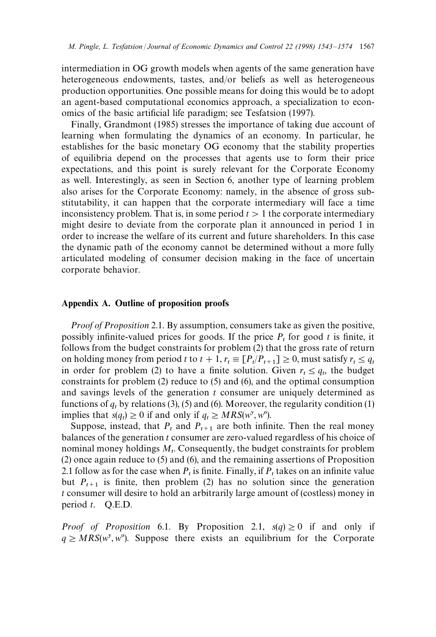intermediation in OG growth models when agents of the same generation have heterogeneous endowments, tastes, and/or beliefs as well as heterogeneous production opportunities. One possible means for doing this would be to adopt an agent-based computational economics approach, a specialization to economics of the basic artificial life paradigm; see Tesfatsion (1997).

Finally, Grandmont (1985) stresses the importance of taking due account of learning when formulating the dynamics of an economy. In particular, he establishes for the basic monetary OG economy that the stability properties of equilibria depend on the processes that agents use to form their price expectations, and this point is surely relevant for the Corporate Economy as well. Interestingly, as seen in Section 6, another type of learning problem also arises for the Corporate Economy: namely, in the absence of gross substitutability, it can happen that the corporate intermediary will face a time inconsistency problem. That is, in some period  $t > 1$  the corporate intermediary might desire to deviate from the corporate plan it announced in period 1 in order to increase the welfare of its current and future shareholders. In this case the dynamic path of the economy cannot be determined without a more fully articulated modeling of consumer decision making in the face of uncertain corporate behavior.

#### Appendix A. Outline of proposition proofs

*Proof of Proposition* 2.1. By assumption, consumers take as given the positive, possibly infinite-valued prices for goods. If the price  $P_t$  for good  $t$  is finite, it follows from the budget constraints for problem (2) that the gross rate of return on holding money from period *t* to  $t + 1$ ,  $r_t \equiv [P_t/P_{t+1}] \ge 0$ , must satisfy  $r_t \le q_t$ in order for problem (2) to have a finite solution. Given  $r_t \leq q_t$ , the budget constraints for problem (2) reduce to (5) and (6), and the optimal consumption and savings levels of the generation *t* consumer are uniquely determined as functions of  $q_t$  by relations (3), (5) and (6). Moreover, the regularity condition (1) implies that  $s(q_t) \ge 0$  if and only if  $q_t \ge MRS(w^y, w^0)$ .

Suppose, instead, that  $P_t$  and  $P_{t+1}$  are both infinite. Then the real money balances of the generation *t* consumer are zero-valued regardless of his choice of nominal money holdings  $M_t$ . Consequently, the budget constraints for problem (2) once again reduce to (5) and (6), and the remaining assertions of Proposition 2.1 follow as for the case when  $P_t$  is finite. Finally, if  $P_t$  takes on an infinite value but  $P_{t+1}$  is finite, then problem (2) has no solution since the generation *t* consumer will desire to hold an arbitrarily large amount of (costless) money in period *t*. Q.E.D.

*Proof of Proposition* 6.1. By Proposition 2.1,  $s(q) \ge 0$  if and only if  $q \geq MRS(w^y, w^0)$ . Suppose there exists an equilibrium for the Corporate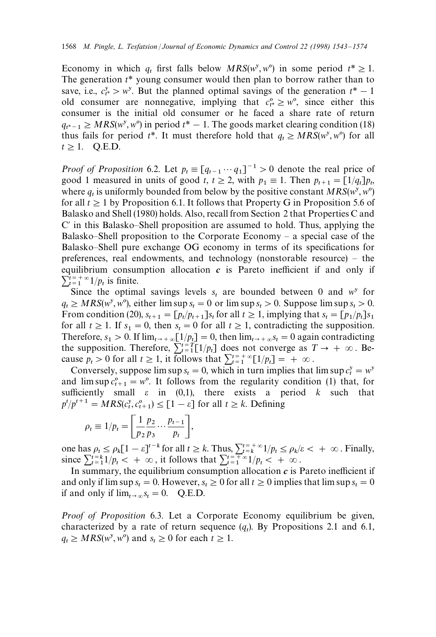Economy in which  $q_t$  first falls below *MRS*( $w^y$ ,  $w^0$ ) in some period  $t^* \ge 1$ . The generation *t\** young consumer would then plan to borrow rather than to save, i.e.,  $c_{t*}^y > w^y$ . But the planned optimal savings of the generation  $t^* - 1$ old consumer are nonnegative, implying that  $c_{t*}^0 \geq w^0$ , since either this consumer is the initial old consumer or he faced a share rate of return  $q_{t^*-1} \geq MRS(w^y, w^0)$  in period  $t^*-1$ . The goods market clearing condition (18) thus fails for period  $t^*$ . It must therefore hold that  $q_t \geq MRS(w^y, w^0)$  for all  $t \geq 1$ . Q.E.D.

*Proof of Proposition* 6.2. Let  $p_t \equiv [q_{t-1} \cdots q_1]^{-1} > 0$  denote the real price of  $\begin{aligned} \n\text{Proof of } \text{Lip}_t &= \left[ q_{t-1} \cdots q_1 \right] \quad \text{for some } t \in \text{et } p_t \text{ and } \text{if } p_1 \equiv 1. \text{ Then } p_{t+1} = \left[ 1/q_t \right] p_t, \n\end{aligned}$ good 1 measured in units of good *t*,  $t \ge 2$ , with  $p_1 \equiv 1$ . Then  $p_{t+1} \equiv \lfloor 1/q_t \rfloor p_t$ , where  $q_t$  is uniformly bounded from below by the positive constant *MRS*( $w^y$ ,  $w^0$ ) for all  $t \geq 1$  by Proposition 6.1. It follows that Property G in Proposition 5.6 of Balasko and Shell (1980) holds. Also, recall from Section 2 that Properties C and C' in this Balasko–Shell proposition are assumed to hold. Thus, applying the Balasko*—*Shell proposition to the Corporate Economy *—* a special case of the Balasko*—*Shell pure exchange OG economy in terms of its specifications for preferences, real endowments, and technology (nonstorable resource) *—* the equilibrium consumption allocation  $c$  is Pareto inefficient if and only if  $\sum_{t=1}^{t=+\infty} 1/p_t$  is finite.

Since the optimal savings levels  $s_t$  are bounded between 0 and  $w^y$  for  $q_t \geq MRS(w^y, w^0)$ , either lim sup  $s_t = 0$  or lim sup  $s_t > 0$ . Suppose lim sup  $s_t > 0$ . From condition (20),  $s_{t+1} = [p_t/p_{t+1}]s_t$  for all  $t \ge 1$ , implying that  $s_t = [p_1/p_t]s_t$ From condition (20),  $s_{t+1} = [p_t/p_{t+1}]s_t$  for all  $t \ge 1$ , implying that  $s_t = [p_1/p_{t}]s_1$  for all  $t \ge 1$ . If  $s_1 = 0$ , then  $s_t = 0$  for all  $t \ge 1$ , contradicting the supposition. Therefore,  $s_1 > 0$ . If  $\lim_{t \to +\infty} \frac{1}{p_t} = 0$ , then  $\lim_{t \to +\infty} s_t = 0$  again contradicting Therefore,  $s_1 > 0$ . If  $\lim_{t \to +\infty} \frac{1}{t} = \lim_{t \to +\infty} \frac{1}{t} = 0$ , then  $\lim_{t \to +\infty} s_t = 0$  again contradicting<br>the supposition. Therefore,  $\sum_{t=1}^{t} \frac{T}{t} = \frac{T}{t}$  does not converge as  $T \to +\infty$ . Because  $p_t > 0$  for all  $t \ge 1$ , it follows that  $\sum_{t=1}^{t=+\infty} [1/p_t] = +\infty$ .

Conversely, suppose  $\limsup s_t = 0$ , which in turn implies that  $\limsup c_t^y = w^y$ and  $\limsup c_{t+1}^0 = w^0$ . It follows from the regularity condition (1) that, for sufficiently small  $\varepsilon$  in (0,1), there exists a period  $k$  such that  $p^{t}/p^{t+1} = MRS(c_1^{y}, c_{t+1}^{0}) \leq [1 - \varepsilon]$  for all  $t \geq k$ . Defining

$$
\rho_t \equiv 1/p_t = \left[\frac{1}{p_2}\frac{p_2}{p_3}\cdots\frac{p_{t-1}}{p_t}\right],
$$

one has  $\rho_t \le \rho_k [1 - \varepsilon]^{t-k}$  for all  $t \ge k$ . Thus,  $\sum_{t=k}^{t=\pm} \infty 1/p_t \le \rho_k/\varepsilon < +\infty$ . Finally, since  $\sum_{t=1}^{t=k} 1/p_t < +\infty$ , it follows that  $\sum_{t=1}^{t=\infty} 1/p_t < +\infty$ .

 In summary, the equilibrium consumption allocation *c* is Pareto inefficient if and only if  $\limsup s_t = 0$ . However,  $s_t \ge 0$  for all  $t \ge 0$  implies that  $\limsup s_t = 0$ if and only if  $\lim_{t\to\infty} s_t = 0$ . Q.E.D.

*Proof of Proposition* 6.3. Let a Corporate Economy equilibrium be given, characterized by a rate of return sequence  $(q_t)$ . By Propositions 2.1 and 6.1,  $q_t \geq MRS(w^y, w^0)$  and  $s_t \geq 0$  for each  $t \geq 1$ .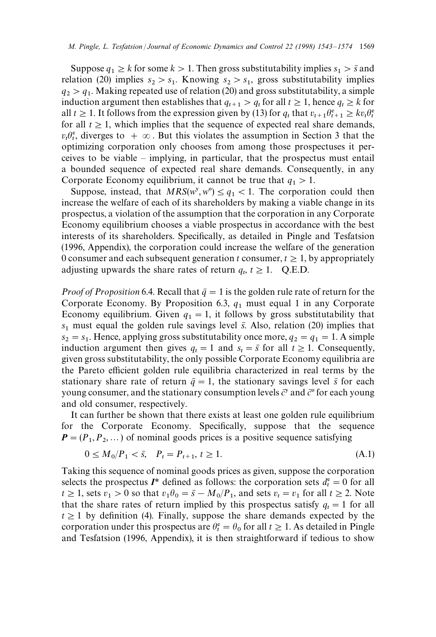Suppose  $q_1 \ge k$  for some  $k > 1$ . Then gross substitutability implies  $s_1 > \bar{s}$  and relation (20) implies  $s_2 > s_1$ . Knowing  $s_2 > s_1$ , gross substitutability implies  $q_2 > q_1$ . Making repeated use of relation (20) and gross substitutability, a simple  $q_2 > q_1$ . Making repeated use of relation (20) and gross substitutability, a simple  $q_2 > q_1$ . Making repeated use of relation (20) and gross substitutionity, a simple<br>induction argument then establishes that  $q_{t+1} > q_t$  for all  $t \ge 1$ , hence  $q_t \ge k$  for all  $t \ge 1$ . It follows from the expression given by (13) for  $q_t$  that  $v_{t+1} \theta_{t+1}^e \ge kv_t \theta_t^e$ for all  $t \ge 1$ , which implies that the sequence of expected real share demands,  $v_t \theta_t^e$ , diverges to  $+\infty$ . But this violates the assumption in Section 3 that the optimizing corporation only chooses from among those prospectuses it perceives to be viable *—* implying, in particular, that the prospectus must entail a bounded sequence of expected real share demands. Consequently, in any Corporate Economy equilibrium, it cannot be true that  $q_1 > 1$ .

Suppose, instead, that  $MRS(w^y, w^0) \le q_1 < 1$ . The corporation could then increase the welfare of each of its shareholders by making a viable change in its prospectus, a violation of the assumption that the corporation in any Corporate Economy equilibrium chooses a viable prospectus in accordance with the best interests of its shareholders. Specifically, as detailed in Pingle and Tesfatsion (1996, Appendix), the corporation could increase the welfare of the generation 0 consumer and each subsequent generation *t* consumer,  $t \ge 1$ , by appropriately adjusting upwards the share rates of return  $q_t$ ,  $t \ge 1$ . Q.E.D.

*Proof of Proposition* 6.4. Recall that  $\bar{q} = 1$  is the golden rule rate of return for the Corporate Economy. By Proposition 6.3, *q* <sup>1</sup> must equal 1 in any Corporate Economy equilibrium. Given  $q_1 = 1$ , it follows by gross substitutability that Economy equinorium. Oiven  $q_1 = 1$ , it follows by gross substitutability that  $s_1$  must equal the golden rule savings level  $\bar{s}$ . Also, relation (20) implies that  $s_2 = s_1$ . Hence, applying gross substitutability once more,  $q_2 = q_1 = 1$ . A simple  $s_2 = s_1$ . Hence, applying gross substitutionally once more,  $q_2 = q_1 = 1$ . A simple induction argument then gives  $q_t = 1$  and  $s_t = \overline{s}$  for all  $t \ge 1$ . Consequently, given gross substitutability, the only possible Corporate Economy equilibria are the Pareto efficient golden rule equilibria characterized in real terms by the stationary share rate of return  $\bar{q} = 1$ , the stationary savings level  $\bar{s}$  for each young consumer, and the stationary consumption levels  $\bar{c}^y$  and  $\bar{c}^0$  for each young and old consumer, respectively.

It can further be shown that there exists at least one golden rule equilibrium for the Corporate Economy. Specifically, suppose that the sequence  $P = (P_1, P_2, ...)$  of nominal goods prices is a positive sequence satisfying

$$
0 \le M_0/P_1 < \bar{s}, \quad P_t = P_{t+1}, \ t \ge 1. \tag{A.1}
$$

Taking this sequence of nominal goods prices as given, suppose the corporation selects the prospectus  $I^*$  defined as follows: the corporation sets  $d_t^e = 0$  for all  $t \ge 1$ , sets  $v_1 > 0$  so that  $v_1 \theta_0 = \bar{s} - M_0/P_1$ , and sets  $v_t = v_1$  for all  $t \ge 2$ . Note that the share rates of return implied by this prospectus satisfy  $q_t = 1$  for all  $t \geq 1$  by definition (4). Finally, suppose the share demands expected by the corporation under this prospectus are  $\theta_t^* = \theta_0$  for all  $t \ge 1$ . As detailed in Pingle and Tesfatsion (1996, Appendix), it is then straightforward if tedious to show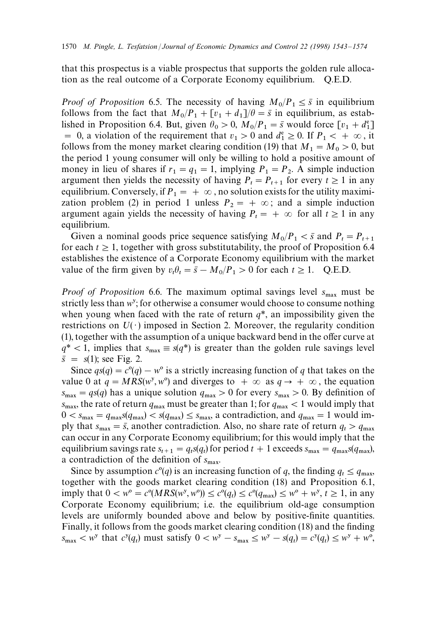that this prospectus is a viable prospectus that supports the golden rule allocation as the real outcome of a Corporate Economy equilibrium. Q.E.D.

*Proof of Proposition* 6.5. The necessity of having  $M_0/P_1 \leq \overline{s}$  in equilibrium follows from the fact that  $M_0/P_1 + [v_1 + d_1]/\theta = \bar{s}$  in equilibrium, as established in Proposition 6.4. But, given  $\theta_0 > 0$ ,  $M_0/P_1 = \overline{s}$  would force  $[v_1 + d_1^e]$  $= 0$ , a violation of the requirement that  $v_1 > 0$  and  $d_1^e \ge 0$ . If  $P_1 < +\infty$ , it follows from the money market clearing condition (19) that  $M_1 = M_0 > 0$ , but the period 1 young consumer will only be willing to hold a positive amount of money in lieu of shares if  $r_1 = q_1 = 1$ , implying  $P_1 = P_2$ . A simple induction money in het or snares if  $r_1 = q_1 = 1$ , implying  $r_1 = r_2$ . A simple modern argument then yields the necessity of having  $P_t = P_{t+1}$  for every  $t \ge 1$  in any equilibrium. Conversely, if  $P_1 = +\infty$ , no solution exists for the utility maximization problem (2) in period 1 unless  $P_2 = +\infty$ ; and a simple induction argument again yields the necessity of having  $P_t = +\infty$  for all  $t \ge 1$  in any equilibrium.

Given a nominal goods price sequence satisfying  $M_0/P_1 < \bar{s}$  and  $P_t$ Given a nominal goods price sequence satisfying  $M_0/P_1 < \bar{s}$  and  $P_t = P_{t+1}$  for each  $t \ge 1$ , together with gross substitutability, the proof of Proposition 6.4 establishes the existence of a Corporate Economy equilibrium with the market value of the firm given by  $v_t \theta_t = \bar{s} - M_0/P_1 > 0$  for each  $t \ge 1$ . Q.E.D.

*Proof of Proposition* 6.6. The maximum optimal savings level  $s_{\text{max}}$  must be strictly less than *w*<sup>y</sup>; for otherwise a consumer would choose to consume nothing when young when faced with the rate of return  $q^*$ , an impossibility given the restrictions on  $U(\cdot)$  imposed in Section 2. Moreover, the regularity condition (1), together with the assumption of a unique backward bend in the offer curve at  $q^*$  < 1, implies that  $s_{\text{max}} \equiv s(q^*)$  is greater than the golden rule savings level  $\bar{s} = s(1)$ ; see Fig. 2.

Since  $qs(q) = c^{\circ}(q) - w^{\circ}$  is a strictly increasing function of *q* that takes on the value 0 at  $q = MRS(w^y, w^0)$  and diverges to  $+\infty$  as  $q \to +\infty$ , the equation  $s_{\text{max}} = qs(q)$  has a unique solution  $q_{\text{max}} > 0$  for every  $s_{\text{max}} > 0$ . By definition of  $s_{\text{max}}$ , the rate of return  $q_{\text{max}}$  must be greater than 1; for  $q_{\text{max}} < 1$  would imply that  $0 < s_{\text{max}} = q_{\text{max}}(q_{\text{max}}) < s(q_{\text{max}}) \le s_{\text{max}}$ , a contradiction, and  $q_{\text{max}} = 1$  would imply that  $s_{\text{max}} = \bar{s}$ , another contradiction. Also, no share rate of return  $q_t > q$ ply that  $s_{\text{max}} = s$ , another contradiction. Also, no snare rate of return  $q_t > q_{\text{max}}$ <br>can occur in any Corporate Economy equilibrium; for this would imply that the equilibrium savings rate  $s_{t+1} = q_t s(q_t)$  for period  $t + 1$  exceeds  $s_{\text{max}} = q_{\text{max}} s(q_{\text{max}})$ , a contradiction of the definition of  $s_{\text{max}}$ .

Since by assumption  $c^{\circ}(q)$  is an increasing function of *q*, the finding  $q_t \leq q_{\text{max}}$  together with the goods market clearing condition (18) and Proposition 6.1, imply that  $0 < w^{\circ} = c^{\circ}(MRS(w^{y}, w^{\circ})) \leq c^{\circ}(q_{t}) \leq c^{\circ}(q_{\max}) \leq w^{\circ} + w^{y}, t \geq 1$ , in any Corporate Economy equilibrium; i.e. the equilibrium old-age consumption levels are uniformly bounded above and below by positive-finite quantities. Finally, it follows from the goods market clearing condition (18) and the finding  $s_{\text{max}} < w^y$  that  $c^y(q_t)$  must satisfy  $0 < w^y - s_{\text{max}} \le w^y - s(q_t) = c^y(q_t) \le w^y + w^0$ ,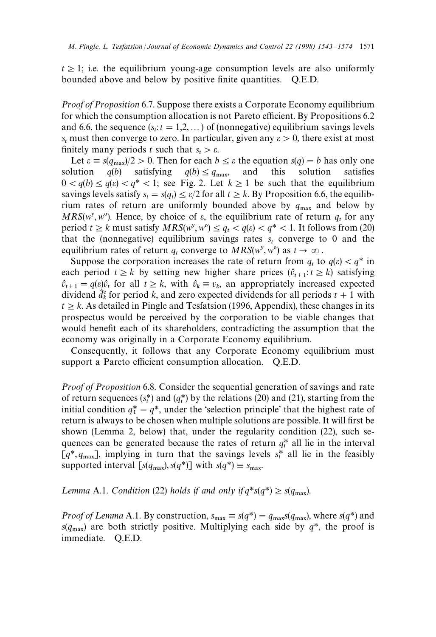$t \geq 1$ ; i.e. the equilibrium young-age consumption levels are also uniformly bounded above and below by positive finite quantities. Q.E.D.

*Proof of Proposition* 6.7. Suppose there exists a Corporate Economy equilibrium for which the consumption allocation is not Pareto efficient. By Propositions 6.2 and 6.6, the sequence  $(s_t: t = 1,2,...)$  of (nonnegative) equilibrium savings levels  $s_t$  must then converge to zero. In particular, given any  $\varepsilon > 0$ , there exist at most finitely many periods *t* such that  $s_t > \varepsilon$ .

Let  $\varepsilon \equiv s(q_{\text{max}})/2 > 0$ . Then for each  $b \leq \varepsilon$  the equation  $s(q) = b$  has only one solution  $q(b)$  satisfying  $q(b) \leq q_{\text{max}}$ , <sub>max</sub>, and this solution satisfies  $0 < q(b) \le q(\epsilon) < q^* < 1$ ; see Fig. 2. Let  $k \ge 1$  be such that the equilibrium savings levels satisfy  $s_t = s(q_t) \le \varepsilon/2$  for all  $t \ge k$ . By Proposition 6.6, the equilibrium rates of return are uniformly bounded above by  $q_{\text{max}}$  and below by  $MRS(w^y, w^0)$ . Hence, by choice of  $\varepsilon$ , the equilibrium rate of return  $q_t$  for any period  $t \ge k$  must satisfy  $MRS(w^y, w^0) \le q_t < q(\epsilon) < q^* < 1$ . It follows from (20) that the (nonnegative) equilibrium savings rates  $s_t$  converge to 0 and the equilibrium rates of return  $q_t$  converge to  $MRS(w^y, w^o)$  as  $t \to \infty$ .

Suppose the corporation increases the rate of return from  $q_t$  to  $q(\varepsilon) < q^*$  in each period  $t \ge k$  by setting new higher share prices  $(\hat{v}_{t+1}: t \ge k)$  satisfying  $\hat{v}_{t+1} = q(\varepsilon)\hat{v}_t$  for all  $t \ge k$ , with  $\hat{v}_k \equiv v_k$ , an appropriately increased expected dividend  $\hat{d}_k^e$  for period *k*, and zero expected dividends for all periods  $t + 1$  with  $t \ge k$ . As detailed in Pingle and Tesfatsion (1996, Appendix), these changes in its prospectus would be perceived by the corporation to be viable changes that would benefit each of its shareholders, contradicting the assumption that the economy was originally in a Corporate Economy equilibrium.

Consequently, it follows that any Corporate Economy equilibrium must support a Pareto efficient consumption allocation. O.E.D.

*Proof of Proposition* 6.8. Consider the sequential generation of savings and rate of return sequences  $(s_t^*)$  and  $(q_t^*)$  by the relations (20) and (21), starting from the initial condition  $q_1^* = q^*$ , under the 'selection principle' that the highest rate of  $\frac{1}{1}$  and the selection principle that the ingliest rate of return is always to be chosen when multiple solutions are possible. It will first be shown (Lemma 2, below) that, under the regularity condition (22), such sequences can be generated because the rates of return  $q_t^*$  all lie in the interval [ $q^*$ ,  $q_{\text{max}}$ ], implying in turn that the savings levels  $s_t^*$  all lie in the feasibly supported interval  $[s(q_{\text{max}}), s(q^*)]$  with  $s(q^*) \equiv s_{\text{max}}$ .

*Lemma* A.1. *Condition* (22) *holds if and only if*  $q^*s(q^*) \ge s(q_{\text{max}})$ .

*Proof of Lemma* A.1. By construction,  $s_{\text{max}} \equiv s(q^*) = q_{\text{max}} s(q_{\text{max}})$ , where  $s(q^*)$  and  $s(q_{\text{max}})$  are both strictly positive. Multiplying each side by  $q^*$ , the proof is immediate. Q.E.D.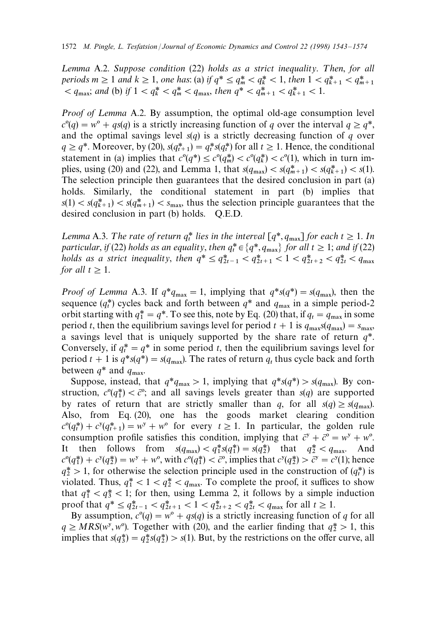Lemma A.2. Suppose condition (22) holds as a strict inequality. Then, for all *periods*  $m \ge 1$  *and*  $k \ge 1$ , *one* has: (a) *if*  $q^* \le q^* \le q^* \le 1$ , *then*  $1 < q^*_{k+1} < q^* \le q^*$ periods  $m \ge 1$  and  $k \ge 1$ , one has: (a) if  $q^* \le q_m^* < q_k^* < 1$ , then  $1 < q_{k+1}^* < q_{m+1}^* <$ <br>  $< q_{\max}$ , and (b) if  $1 < q_k^* < q_m^* < q_{\max}$ , then  $q^* < q_{m+1}^* < q_{k+1}^* < 1$ .

*Proof of Lemma* A.2. By assumption, the optimal old-age consumption level  $c^{o}(q) = w^{o} + qs(q)$  is a strictly increasing function of *q* over the interval  $q \geq q^{*}$ , and the optimal savings level  $s(q)$  is a strictly decreasing function of *q* over  $q \ge q^*$ . Moreover, by (20),  $s(q_{t+1}^*) = q_t^* s(q_t^*)$  for all  $t \ge 1$ . Hence, the conditional  $q \ge q^*$ . Moreover, by (20),  $s(q^*_{t+1}) = q^*_{t} s(q^*_{t})$  for all  $t \ge 1$ . Hence, the conditional statement in (a) implies that  $c^{\circ}(q^*) \le c^{\circ}(q^*_{m}) < c^{\circ}(q^*_{k}) < c^{\circ}(1)$ , which in turn implies, using (20) and (22), and Lemma 1, that  $s(q_{\text{max}}) < s(q_{m+1}^*) < s(q_{k+1}^*) < s(1)$ . plies, using (20) and (22), and Lemma 1, that  $s(q_{max}) < s(q_{min+1}) < s(q_{k+1}) < s(1)$ .<br>The selection principle then guarantees that the desired conclusion in part (a) holds. Similarly, the conditional statement in part (b) implies that  $s(1) < s(q_{k+1}^*) < s(q_{m+1}^*) < s_{\text{max}}$ , thus the selection principle guarantees that the desired conclusion in part (b) holds. Q.E.D.

*Lemma* A.3. The rate of return  $q_t^*$  lies in the interval  $[q^*, q_{\text{max}}]$  for each  $t \geq 1$ . In *particular, if* (22) *holds as an equality, then*  $q_t^* \in \{q^*, q_{\text{max}}\}$  *for all t*  $\geq 1$ ; *and if* (22) *holds as a strict inequality, then*  $q^* \leq q^*_{2t-1} < q^*_{2t+1} < 1 < q^*_{2t+2} < q^*_{2t} < q_{\max}$  for all  $t \geq 1$ .

*Proof of Lemma* A.3. If  $q^*q_{\text{max}} = 1$ , implying that  $q^*s(q^*) = s(q_{\text{max}})$ , then the sequence  $(q_t^*)$  cycles back and forth between  $q^*$  and  $q_{\text{max}}$  in a simple period-2 orbit starting with  $q_1^* = q^*$ . To see this, note by Eq. (20) that, if  $q_t = q_{\text{max}}$  in some period *t*, then the equilibrium savings level for period  $t + 1$  is  $q_{\text{max}}(q_{\text{max}}) = s_{\text{max}}$ . a savings level that is uniquely supported by the share rate of return *q\**. Conversely, if  $q_t^* = q^*$  in some period *t*, then the equilibrium savings level for period  $t + 1$  is  $q^*s(q^*) = s(q_{\text{max}})$ . The rates of return  $q_t$  thus cycle back and forth between  $q^*$  and  $q_{\text{max}}$ .

Suppose, instead, that  $q^*q_{\text{max}} > 1$ , implying that  $q^*s(q^*) > s(q_{\text{max}})$ . By construction,  $c^{\circ}(q_1^*) < \bar{c}^{\circ}$ ; and all savings levels greater than *s*(*q*) are supported by rates of return that are strictly smaller than *q*, for all  $s(q) \ge s(q_{max})$ . Also, from Eq. (20), one has the goods market clearing condition  $c^{o}(q_t^*) + c^{v}(q_{t+1}^*) = w^v + w^o$  for every  $t \ge 1$ . In particular, the golden rule consumption profile satisfies this condition, implying that  $\vec{c}^y + \vec{c}^0 = w^y + w^0$ . It then follows from  $s(q_{\text{max}}) < q_1^* s(q_1^*) = s(q_2^*)$  that  $q_2^* < q_{\text{max}}$ . And 11 then follows from  $s(q_{\text{max}}) < q_1 s(q_1) = s(q_2)$  that  $q_2 < q_{\text{max}}$ . And<br>  $c^0(q_1^*) + c^y(q_2^*) = w^y + w^0$ , with  $c^0(q_1^*) < \bar{c}^0$ , implies that  $c^y(q_2^*) > \bar{c}^y = c^y(1)$ ; hence  $q_2^* > 1$ , for otherwise the selection principle used in the construction of  $(q_t^*)$  is violated. Thus,  $q_1^* < 1 < q_2^* < q_{\text{max}}$ . To complete the proof, it suffices to show violated. Thus,  $q_1 < 1 < q_2 < q_{\text{max}}$ . To complete the proof, it sumes to show<br>that  $q_1^* < q_3^* < 1$ ; for then, using Lemma 2, it follows by a simple induction proof that  $q^* \leq q^*_{2t-1} < q^*_{2t+1} < 1 < q^*_{2t+2} < q^*_{2t} < q_{\text{max}}$  for all  $t \geq 1$ .

By assumption,  $c^{\circ}(q) = w^{\circ} + qs(q)$  is a strictly increasing function of *q* for all  $q \geq MRS(w^{\bar{y}}, w^{\circ})$ . Together with (20), and the earlier finding that  $q^*_{\bar{z}} > 1$ , this implies that  $s(q_3^*) = q_2^* s(q_2^*) > s(1)$ . But, by the restrictions on the offer curve, all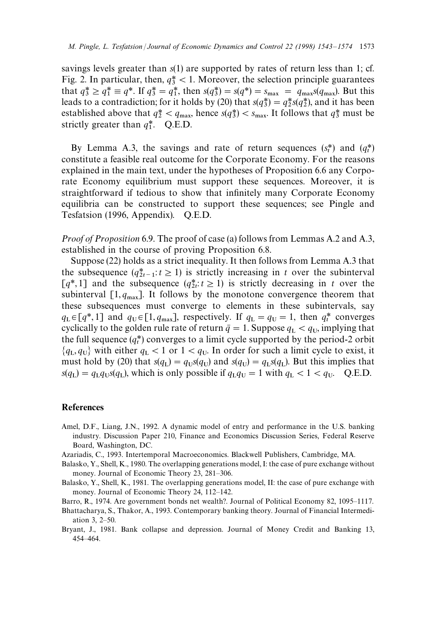savings levels greater than *s*(1) are supported by rates of return less than 1; cf. Fig. 2. In particular, then,  $q_3^* < 1$ . Moreover, the selection principle guarantees that  $q_3^* \ge q_1^* \equiv q^*$ . If  $q_3^* = q_1^*$ , then  $s(q_3^*) = s(q^*) = s_{\text{max}} = q_{\text{max}}(q_{\text{max}})$ . But this leads to a contradiction; for it holds by (20) that  $s(q_3^*) = q_2^* s(q_2^*)$ , and it has been deads to a contradiction, for it holds by (20) that  $s(q_3) = q_2 s(q_2)$ , and it has been<br>established above that  $q_2^* < q_{\text{max}}$ , hence  $s(q_3^*) < s_{\text{max}}$ . It follows that  $q_3^*$  must be strictly greater than  $q_1^*$ . Q.E.D.

By Lemma A.3, the savings and rate of return sequences  $(s_t^*)$  and  $(q_t^*)$  constitute a feasible real outcome for the Corporate Economy. For the reasons explained in the main text, under the hypotheses of Proposition 6.6 any Corporate Economy equilibrium must support these sequences. Moreover, it is straightforward if tedious to show that infinitely many Corporate Economy equilibria can be constructed to support these sequences; see Pingle and Tesfatsion (1996, Appendix). Q.E.D.

*Proof of Proposition* 6.9. The proof of case (a) follows from Lemmas A.2 and A.3, established in the course of proving Proposition 6.8.

Suppose (22) holds as a strict inequality. It then follows from Lemma A.3 that the subsequence  $(q_{2t-1}^* : t \ge 1)$  is strictly increasing in *t* over the subinterval [ $q^*$ , 1] and the subsequence  $(q^*_{2t}:t\geq 1)$  is strictly decreasing in *t* over the subinterval  $[1, q_{\text{max}}]$ . It follows by the monotone convergence theorem that these subsequences must converge to elements in these subintervals, say  $q_L \in [q^*, 1]$  and  $q_U \in [1, q_{max}]$ , respectively. If  $q_L = q_U = 1$ , then  $q_t^*$  converges cyclically to the golden rule rate of return  $\bar{q} = 1$ . Suppose  $q_L < q_U$ , implying that the full sequence  $(q_t^*)$  converges to a limit cycle supported by the period-2 orbit  $\{q_L, q_U\}$  with either  $q_L < 1$  or  $1 < q_U$ . In order for such a limit cycle to exist, it must hold by (20) that  $s(q_L) = q_U s(q_U)$  and  $s(q_U) = q_L s(q_L)$ . But this implies that  $s(q_L) = q_L q_U s(q_L)$ , which is only possible if  $q_L q_U = 1$  with  $q_L < 1 < q_U$ . Q.E.D.

#### References

Amel, D.F., Liang, J.N., 1992. A dynamic model of entry and performance in the U.S. banking industry. Discussion Paper 210, Finance and Economics Discussion Series, Federal Reserve Board, Washington, DC.

Azariadis, C., 1993. Intertemporal Macroeconomics. Blackwell Publishers, Cambridge, MA.

- Balasko, Y., Shell, K., 1980. The overlapping generations model, I: the case of pure exchange without money. Journal of Economic Theory 23, 281*—*306.
- Balasko, Y., Shell, K., 1981. The overlapping generations model, II: the case of pure exchange with money. Journal of Economic Theory 24, 112*—*142.

Barro, R., 1974. Are government bonds net wealth?. Journal of Political Economy 82, 1095*—*1117.

Bhattacharya, S., Thakor, A., 1993. Contemporary banking theory. Journal of Financial Intermediation 3, 2*—*50.

Bryant, J., 1981. Bank collapse and depression. Journal of Money Credit and Banking 13, 454*—*464.